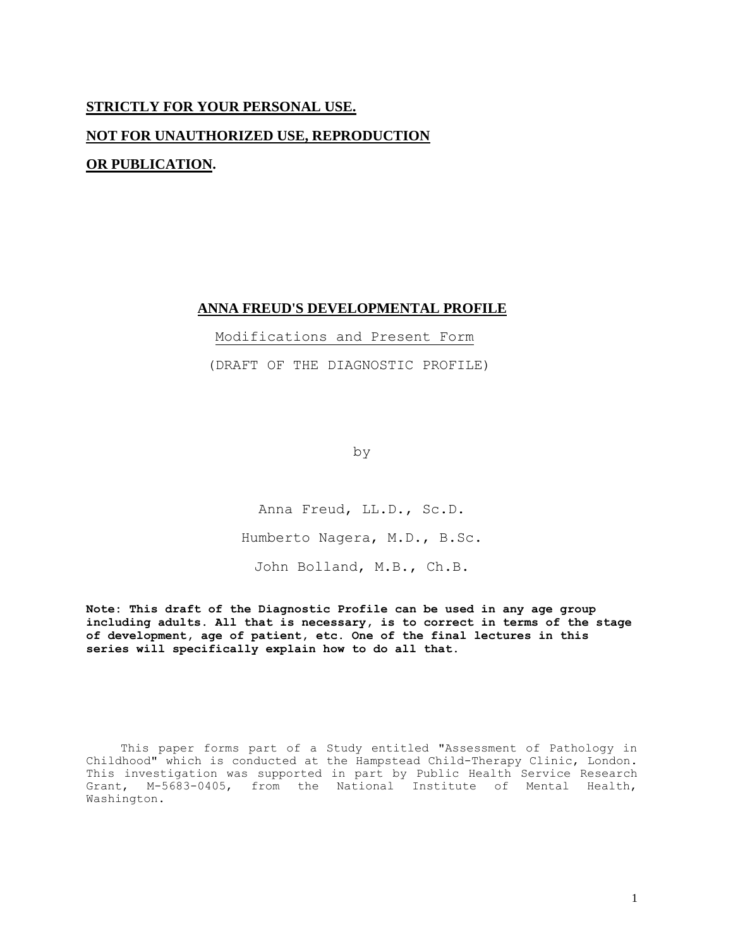# **STRICTLY FOR YOUR PERSONAL USE. NOT FOR UNAUTHORIZED USE, REPRODUCTION OR PUBLICATION.**

# **ANNA FREUD'S DEVELOPMENTAL PROFILE**

Modifications and Present Form

(DRAFT OF THE DIAGNOSTIC PROFILE)

by

Anna Freud, LL.D., Sc.D. Humberto Nagera, M.D., B.Sc. John Bolland, M.B., Ch.B.

**Note: This draft of the Diagnostic Profile can be used in any age group including adults. All that is necessary, is to correct in terms of the stage of development, age of patient, etc. One of the final lectures in this series will specifically explain how to do all that.**

This paper forms part of a Study entitled "Assessment of Pathology in Childhood" which is conducted at the Hampstead Child-Therapy Clinic, London. This investigation was supported in part by Public Health Service Research Grant, M-5683-0405, from the National Institute of Mental Health, Washington.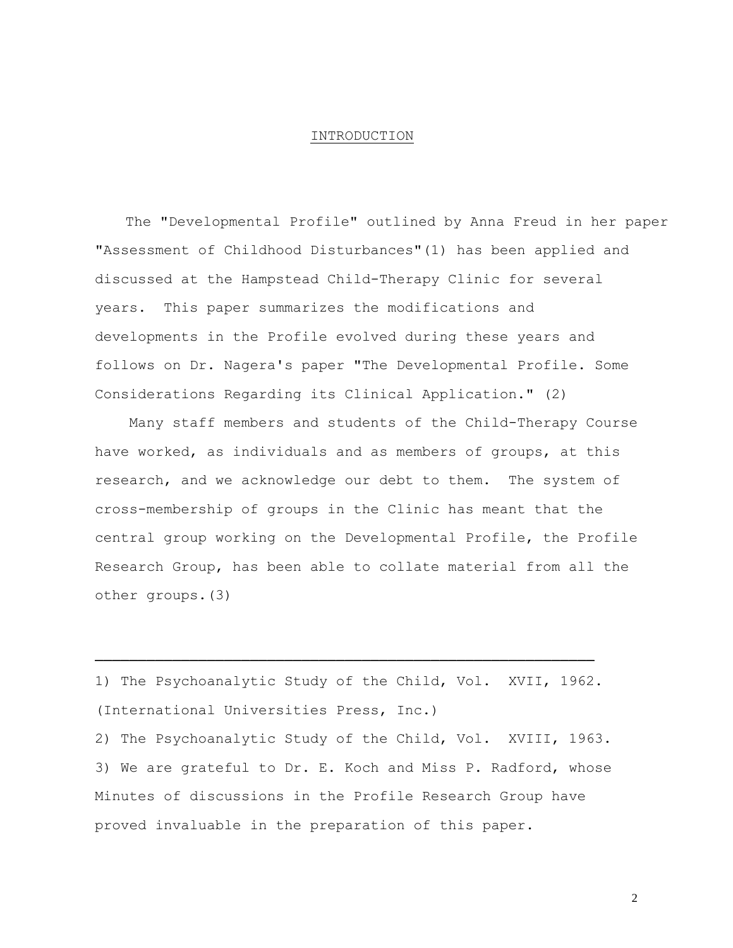#### INTRODUCTION

The "Developmental Profile" outlined by Anna Freud in her paper "Assessment of Childhood Disturbances"(1) has been applied and discussed at the Hampstead Child-Therapy Clinic for several years. This paper summarizes the modifications and developments in the Profile evolved during these years and follows on Dr. Nagera's paper "The Developmental Profile. Some Considerations Regarding its Clinical Application." (2)

Many staff members and students of the Child-Therapy Course have worked, as individuals and as members of groups, at this research, and we acknowledge our debt to them. The system of cross-membership of groups in the Clinic has meant that the central group working on the Developmental Profile, the Profile Research Group, has been able to collate material from all the other groups.(3)

1) The Psychoanalytic Study of the Child, Vol. XVII, 1962. (International Universities Press, Inc.) 2) The Psychoanalytic Study of the Child, Vol. XVIII, 1963. 3) We are grateful to Dr. E. Koch and Miss P. Radford, whose Minutes of discussions in the Profile Research Group have proved invaluable in the preparation of this paper.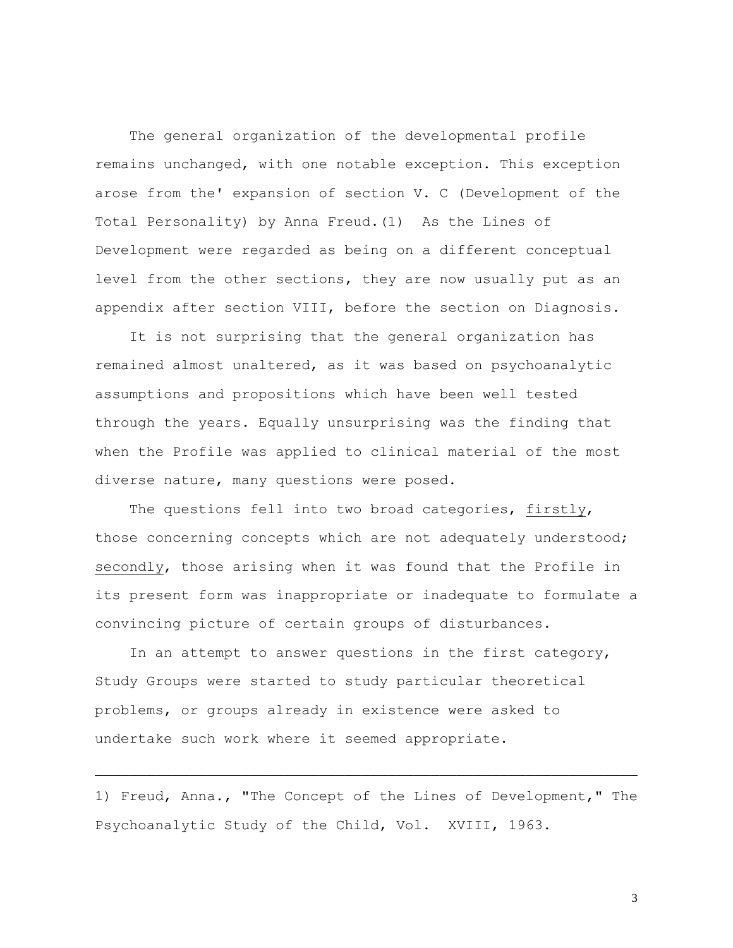The general organization of the developmental profile remains unchanged, with one notable exception. This exception arose from the' expansion of section V. C (Development of the Total Personality) by Anna Freud.(1) As the Lines of Development were regarded as being on a different conceptual level from the other sections, they are now usually put as an appendix after section VIII, before the section on Diagnosis.

It is not surprising that the general organization has remained almost unaltered, as it was based on psychoanalytic assumptions and propositions which have been well tested through the years. Equally unsurprising was the finding that when the Profile was applied to clinical material of the most diverse nature, many questions were posed.

The questions fell into two broad categories, firstly, those concerning concepts which are not adequately understood; secondly, those arising when it was found that the Profile in its present form was inappropriate or inadequate to formulate a convincing picture of certain groups of disturbances.

In an attempt to answer questions in the first category, Study Groups were started to study particular theoretical problems, or groups already in existence were asked to undertake such work where it seemed appropriate.

1) Freud, Anna., "The Concept of the Lines of Development," The Psychoanalytic Study of the Child, Vol. XVIII, 1963.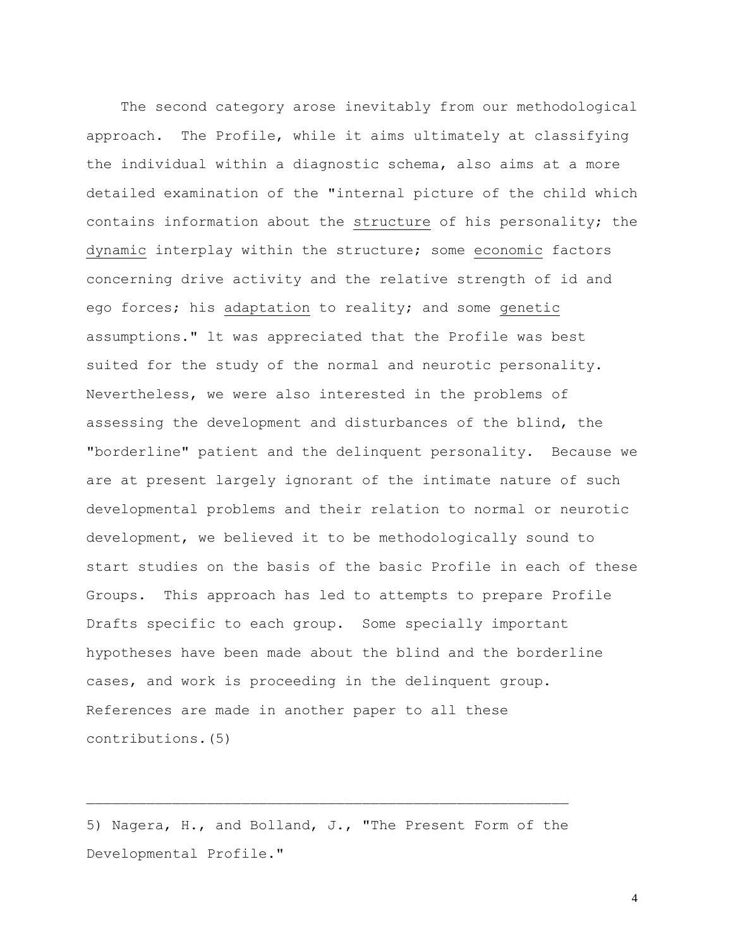The second category arose inevitably from our methodological approach. The Profile, while it aims ultimately at classifying the individual within a diagnostic schema, also aims at a more detailed examination of the "internal picture of the child which contains information about the structure of his personality; the dynamic interplay within the structure; some economic factors concerning drive activity and the relative strength of id and ego forces; his adaptation to reality; and some genetic assumptions." lt was appreciated that the Profile was best suited for the study of the normal and neurotic personality. Nevertheless, we were also interested in the problems of assessing the development and disturbances of the blind, the "borderline" patient and the delinquent personality. Because we are at present largely ignorant of the intimate nature of such developmental problems and their relation to normal or neurotic development, we believed it to be methodologically sound to start studies on the basis of the basic Profile in each of these Groups. This approach has led to attempts to prepare Profile Drafts specific to each group. Some specially important hypotheses have been made about the blind and the borderline cases, and work is proceeding in the delinquent group. References are made in another paper to all these contributions.(5)

5) Nagera, H., and Bolland, J., "The Present Form of the Developmental Profile."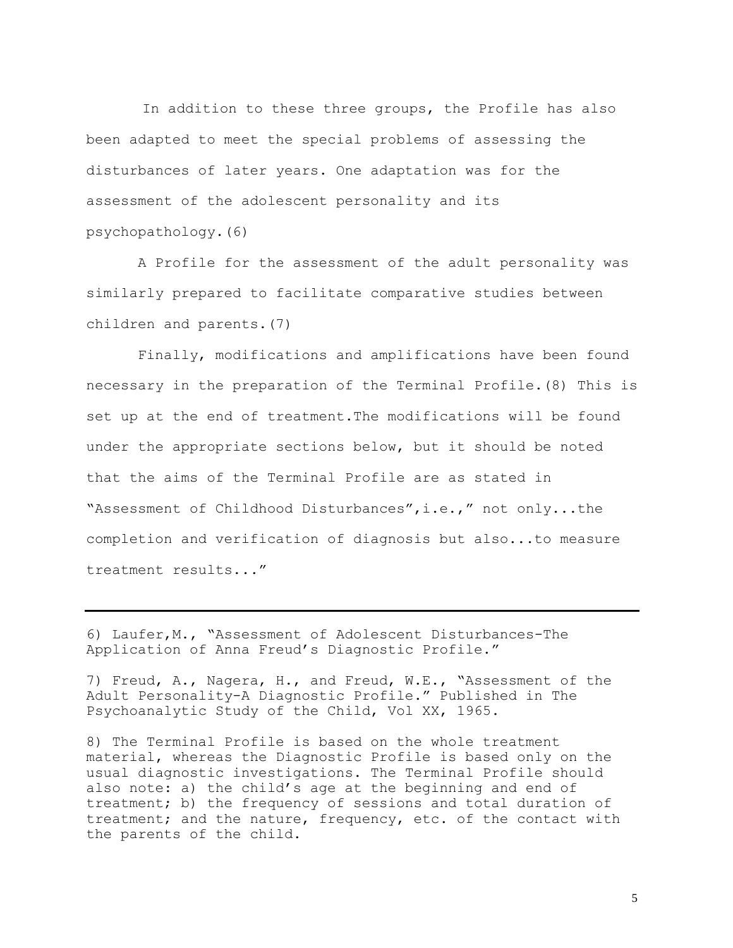In addition to these three groups, the Profile has also been adapted to meet the special problems of assessing the disturbances of later years. One adaptation was for the assessment of the adolescent personality and its psychopathology.(6)

 A Profile for the assessment of the adult personality was similarly prepared to facilitate comparative studies between children and parents.(7)

 Finally, modifications and amplifications have been found necessary in the preparation of the Terminal Profile.(8) This is set up at the end of treatment.The modifications will be found under the appropriate sections below, but it should be noted that the aims of the Terminal Profile are as stated in "Assessment of Childhood Disturbances",i.e.," not only...the completion and verification of diagnosis but also...to measure treatment results..."

6) Laufer,M., "Assessment of Adolescent Disturbances-The Application of Anna Freud's Diagnostic Profile."

7) Freud, A., Nagera, H., and Freud, W.E., "Assessment of the Adult Personality-A Diagnostic Profile." Published in The Psychoanalytic Study of the Child, Vol XX, 1965.

8) The Terminal Profile is based on the whole treatment material, whereas the Diagnostic Profile is based only on the usual diagnostic investigations. The Terminal Profile should also note: a) the child's age at the beginning and end of treatment; b) the frequency of sessions and total duration of treatment; and the nature, frequency, etc. of the contact with the parents of the child.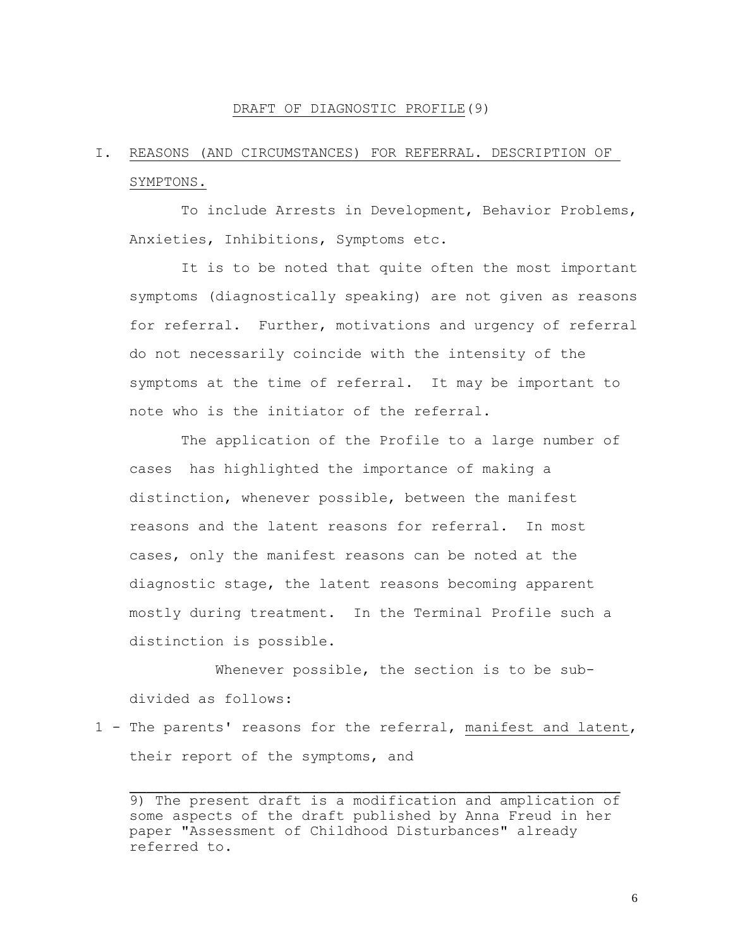### DRAFT OF DIAGNOSTIC PROFILE(9)

# I. REASONS (AND CIRCUMSTANCES) FOR REFERRAL. DESCRIPTION OF SYMPTONS.

 To include Arrests in Development, Behavior Problems, Anxieties, Inhibitions, Symptoms etc.

 It is to be noted that quite often the most important symptoms (diagnostically speaking) are not given as reasons for referral. Further, motivations and urgency of referral do not necessarily coincide with the intensity of the symptoms at the time of referral. It may be important to note who is the initiator of the referral.

 The application of the Profile to a large number of cases has highlighted the importance of making a distinction, whenever possible, between the manifest reasons and the latent reasons for referral. In most cases, only the manifest reasons can be noted at the diagnostic stage, the latent reasons becoming apparent mostly during treatment. In the Terminal Profile such a distinction is possible.

Whenever possible, the section is to be subdivided as follows:

1 - The parents' reasons for the referral, manifest and latent, their report of the symptoms, and

<sup>9)</sup> The present draft is a modification and amplication of some aspects of the draft published by Anna Freud in her paper "Assessment of Childhood Disturbances" already referred to.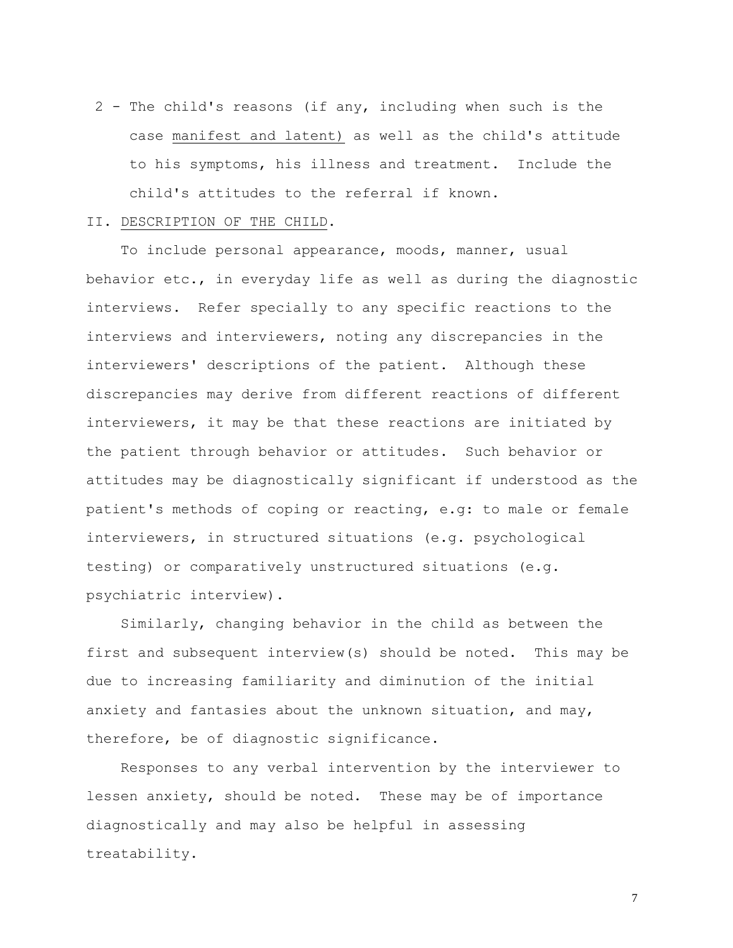2 - The child's reasons (if any, including when such is the case manifest and latent) as well as the child's attitude to his symptoms, his illness and treatment. Include the child's attitudes to the referral if known.

### II. DESCRIPTION OF THE CHILD.

To include personal appearance, moods, manner, usual behavior etc., in everyday life as well as during the diagnostic interviews. Refer specially to any specific reactions to the interviews and interviewers, noting any discrepancies in the interviewers' descriptions of the patient. Although these discrepancies may derive from different reactions of different interviewers, it may be that these reactions are initiated by the patient through behavior or attitudes. Such behavior or attitudes may be diagnostically significant if understood as the patient's methods of coping or reacting, e.g: to male or female interviewers, in structured situations (e.g. psychological testing) or comparatively unstructured situations (e.g. psychiatric interview).

Similarly, changing behavior in the child as between the first and subsequent interview(s) should be noted. This may be due to increasing familiarity and diminution of the initial anxiety and fantasies about the unknown situation, and may, therefore, be of diagnostic significance.

Responses to any verbal intervention by the interviewer to lessen anxiety, should be noted. These may be of importance diagnostically and may also be helpful in assessing treatability.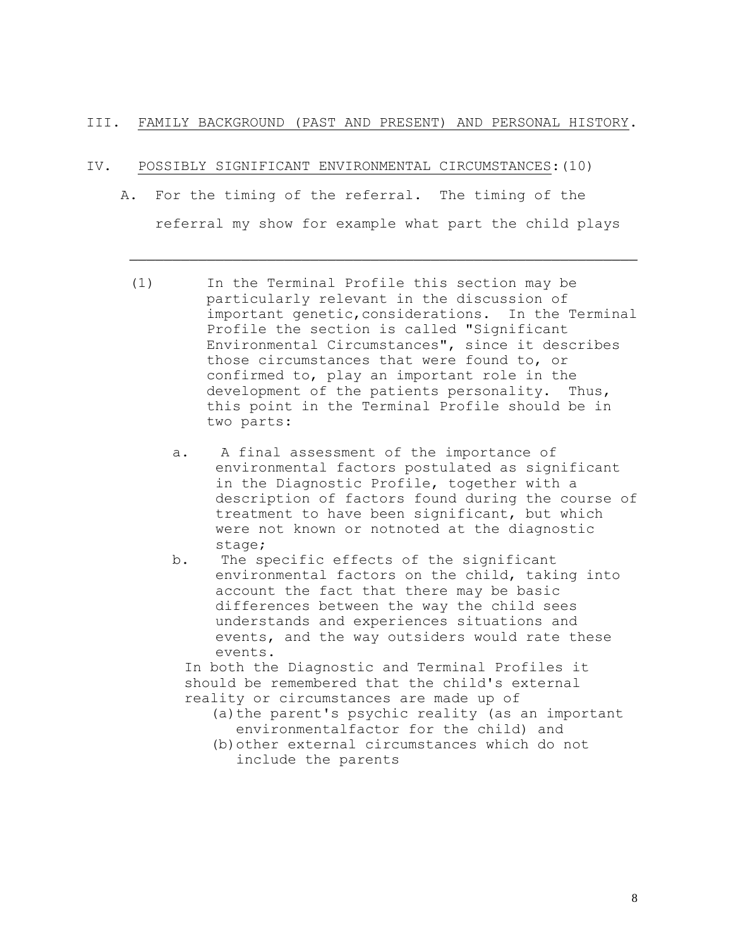## III. FAMILY BACKGROUND (PAST AND PRESENT) AND PERSONAL HISTORY.

### IV. POSSIBLY SIGNIFICANT ENVIRONMENTAL CIRCUMSTANCES:(10)

- A. For the timing of the referral. The timing of the referral my show for example what part the child plays
	- (1) In the Terminal Profile this section may be particularly relevant in the discussion of important genetic, considerations. In the Terminal Profile the section is called "Significant Environmental Circumstances", since it describes those circumstances that were found to, or confirmed to, play an important role in the development of the patients personality. Thus, this point in the Terminal Profile should be in two parts:
		- a. A final assessment of the importance of environmental factors postulated as significant in the Diagnostic Profile, together with a description of factors found during the course of treatment to have been significant, but which were not known or notnoted at the diagnostic stage;
		- b. The specific effects of the significant environmental factors on the child, taking into account the fact that there may be basic differences between the way the child sees understands and experiences situations and events, and the way outsiders would rate these events.

 In both the Diagnostic and Terminal Profiles it should be remembered that the child's external reality or circumstances are made up of

- (a) the parent's psychic reality (as an important environmentalfactor for the child) and
- (b)other external circumstances which do not include the parents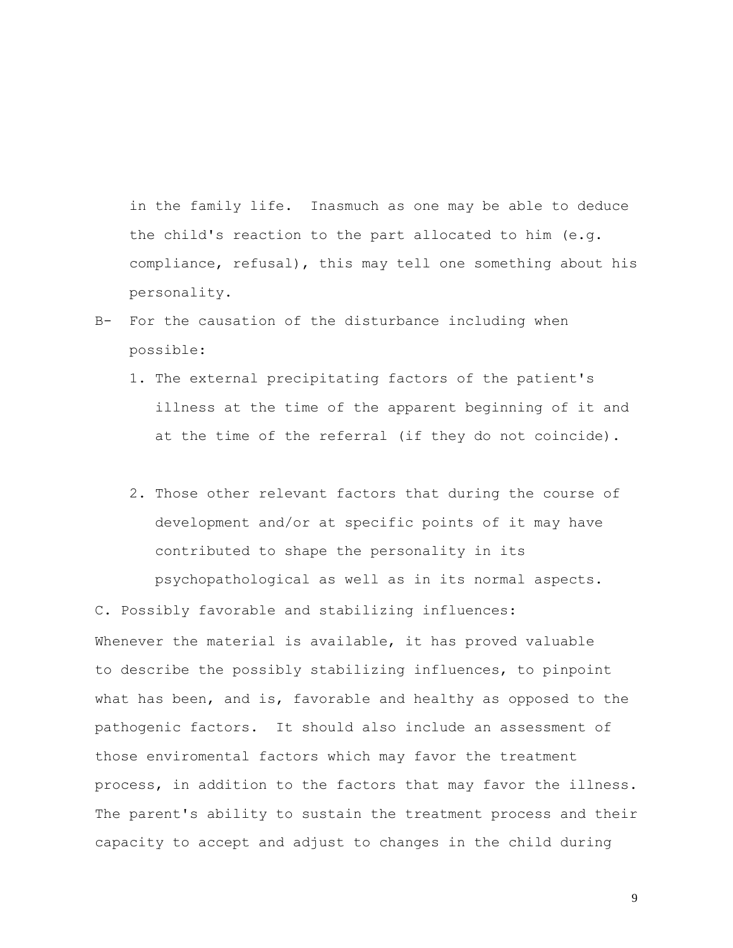in the family life. Inasmuch as one may be able to deduce the child's reaction to the part allocated to him (e.g. compliance, refusal), this may tell one something about his personality.

- B- For the causation of the disturbance including when possible:
	- 1. The external precipitating factors of the patient's illness at the time of the apparent beginning of it and at the time of the referral (if they do not coincide).
	- 2. Those other relevant factors that during the course of development and/or at specific points of it may have contributed to shape the personality in its psychopathological as well as in its normal aspects.

C. Possibly favorable and stabilizing influences: Whenever the material is available, it has proved valuable to describe the possibly stabilizing influences, to pinpoint what has been, and is, favorable and healthy as opposed to the pathogenic factors. It should also include an assessment of those enviromental factors which may favor the treatment process, in addition to the factors that may favor the illness. The parent's ability to sustain the treatment process and their capacity to accept and adjust to changes in the child during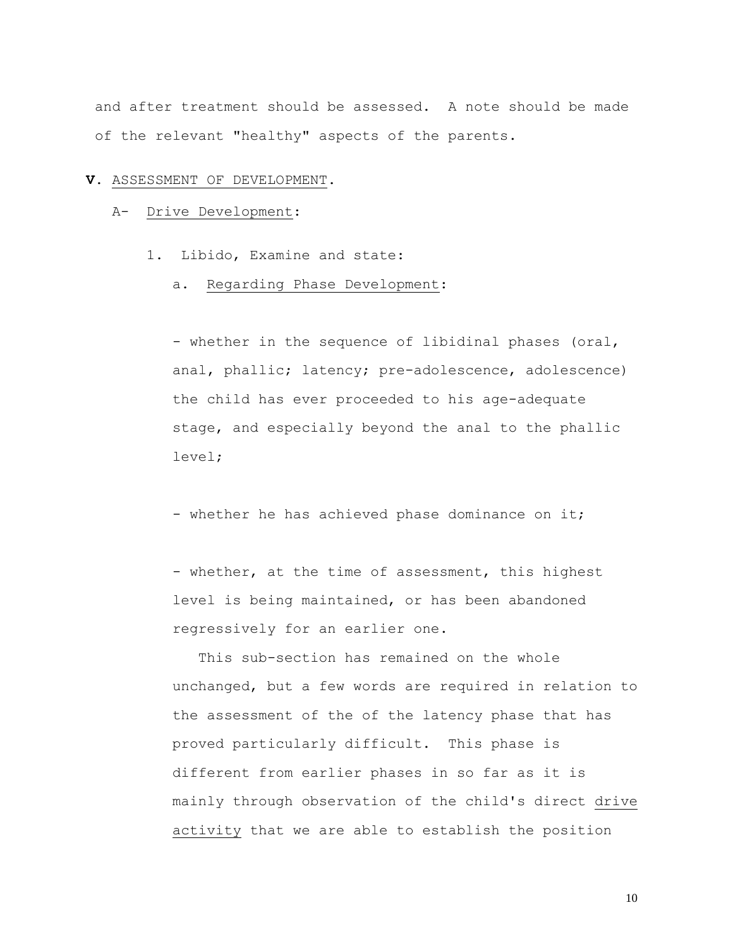and after treatment should be assessed. A note should be made of the relevant "healthy" aspects of the parents.

#### **V.** ASSESSMENT OF DEVELOPMENT.

### A- Drive Development:

- 1. Libido, Examine and state:
	- a. Regarding Phase Development:

- whether in the sequence of libidinal phases (oral, anal, phallic; latency; pre-adolescence, adolescence) the child has ever proceeded to his age-adequate stage, and especially beyond the anal to the phallic level;

- whether he has achieved phase dominance on it;

- whether, at the time of assessment, this highest level is being maintained, or has been abandoned regressively for an earlier one.

 This sub-section has remained on the whole unchanged, but a few words are required in relation to the assessment of the of the latency phase that has proved particularly difficult. This phase is different from earlier phases in so far as it is mainly through observation of the child's direct drive activity that we are able to establish the position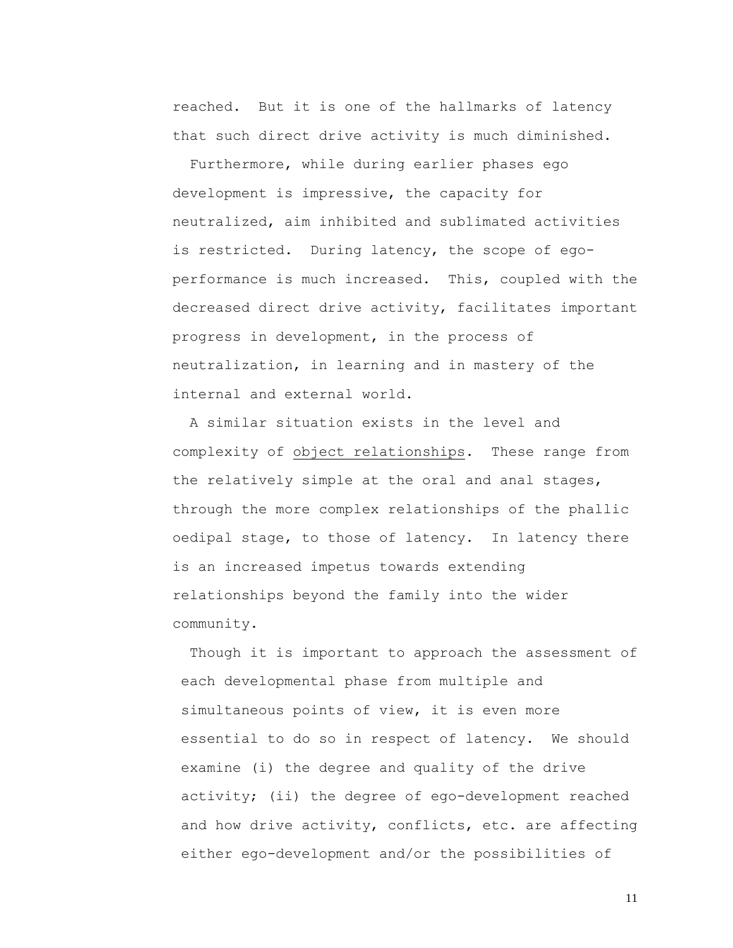reached. But it is one of the hallmarks of latency that such direct drive activity is much diminished.

 Furthermore, while during earlier phases ego development is impressive, the capacity for neutralized, aim inhibited and sublimated activities is restricted. During latency, the scope of egoperformance is much increased. This, coupled with the decreased direct drive activity, facilitates important progress in development, in the process of neutralization, in learning and in mastery of the internal and external world.

 A similar situation exists in the level and complexity of object relationships. These range from the relatively simple at the oral and anal stages, through the more complex relationships of the phallic oedipal stage, to those of latency. In latency there is an increased impetus towards extending relationships beyond the family into the wider community.

Though it is important to approach the assessment of each developmental phase from multiple and simultaneous points of view, it is even more essential to do so in respect of latency. We should examine (i) the degree and quality of the drive activity; (ii) the degree of ego-development reached and how drive activity, conflicts, etc. are affecting either ego-development and/or the possibilities of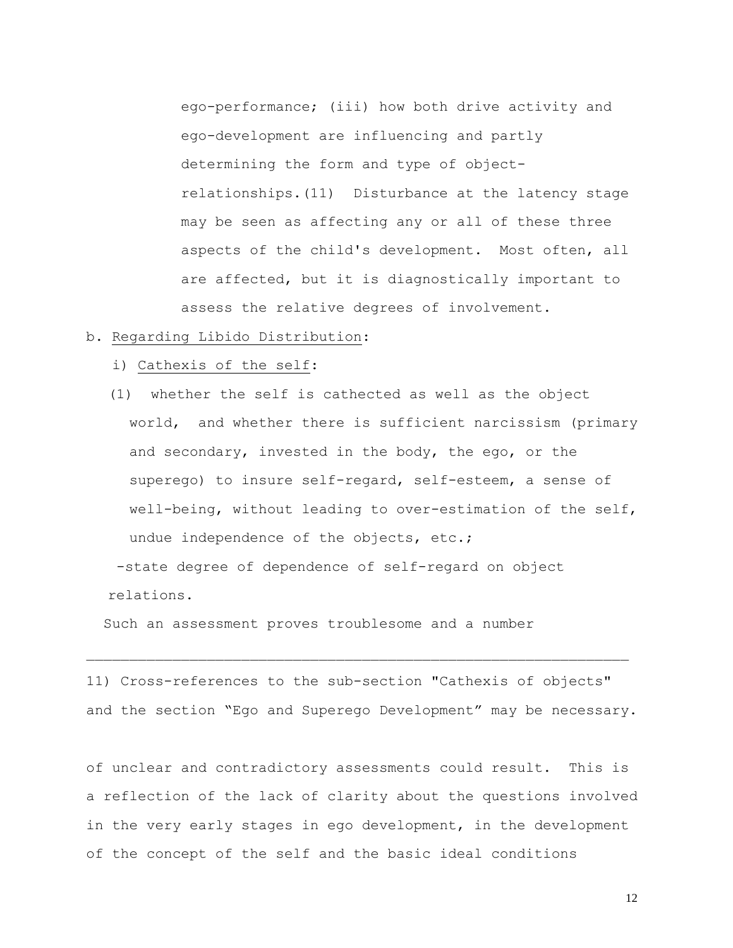ego-performance; (iii) how both drive activity and ego-development are influencing and partly determining the form and type of objectrelationships.(11) Disturbance at the latency stage may be seen as affecting any or all of these three aspects of the child's development. Most often, all are affected, but it is diagnostically important to assess the relative degrees of involvement.

### b. Regarding Libido Distribution:

i) Cathexis of the self:

(1) whether the self is cathected as well as the object world, and whether there is sufficient narcissism (primary and secondary, invested in the body, the ego, or the superego) to insure self-regard, self-esteem, a sense of well-being, without leading to over-estimation of the self, undue independence of the objects, etc.;

-state degree of dependence of self-regard on object relations.

Such an assessment proves troublesome and a number

11) Cross-references to the sub-section "Cathexis of objects" and the section "Ego and Superego Development" may be necessary.

of unclear and contradictory assessments could result. This is a reflection of the lack of clarity about the questions involved in the very early stages in ego development, in the development of the concept of the self and the basic ideal conditions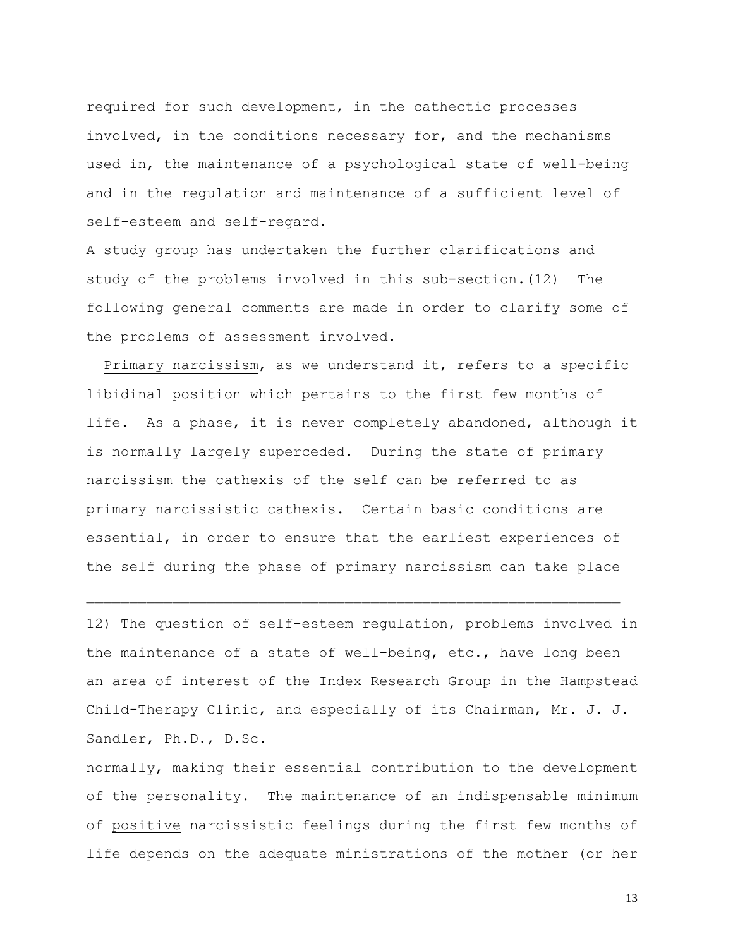required for such development, in the cathectic processes involved, in the conditions necessary for, and the mechanisms used in, the maintenance of a psychological state of well-being and in the regulation and maintenance of a sufficient level of self-esteem and self-regard.

A study group has undertaken the further clarifications and study of the problems involved in this sub-section.(12) The following general comments are made in order to clarify some of the problems of assessment involved.

 Primary narcissism, as we understand it, refers to a specific libidinal position which pertains to the first few months of life. As a phase, it is never completely abandoned, although it is normally largely superceded. During the state of primary narcissism the cathexis of the self can be referred to as primary narcissistic cathexis. Certain basic conditions are essential, in order to ensure that the earliest experiences of the self during the phase of primary narcissism can take place

12) The question of self-esteem regulation, problems involved in the maintenance of a state of well-being, etc., have long been an area of interest of the Index Research Group in the Hampstead Child-Therapy Clinic, and especially of its Chairman, Mr. J. J**.**  Sandler, Ph.D., D.Sc.

normally, making their essential contribution to the development of the personality. The maintenance of an indispensable minimum of positive narcissistic feelings during the first few months of life depends on the adequate ministrations of the mother (or her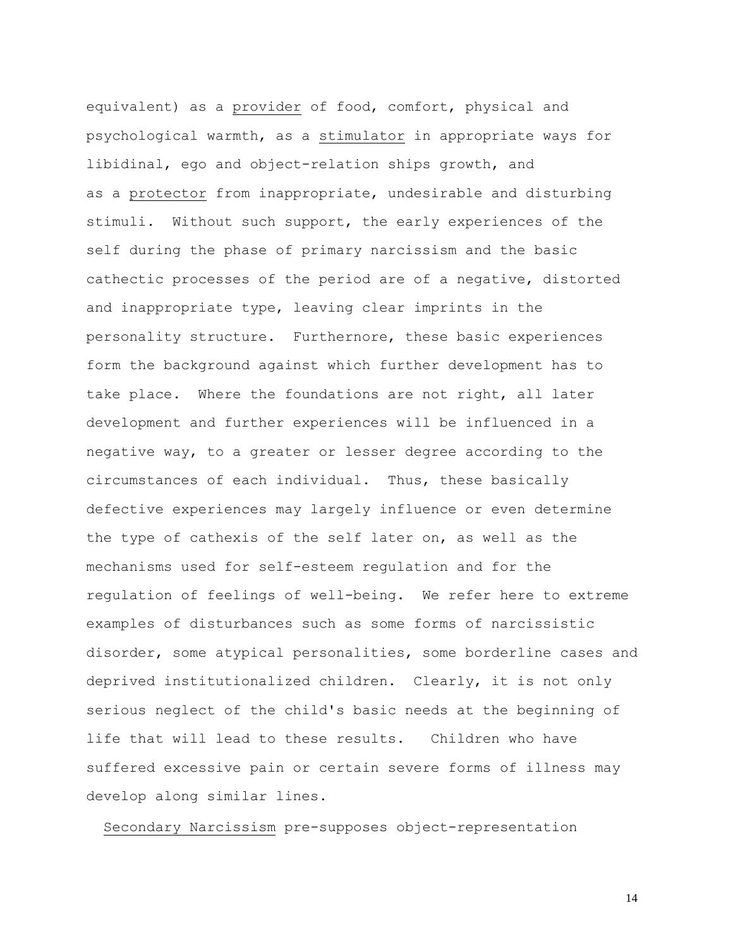equivalent) as a provider of food, comfort, physical and psychological warmth, as a stimulator in appropriate ways for libidinal, ego and object-relation ships growth, and as a protector from inappropriate, undesirable and disturbing stimuli. Without such support, the early experiences of the self during the phase of primary narcissism and the basic cathectic processes of the period are of a negative, distorted and inappropriate type, leaving clear imprints in the personality structure. Furthernore, these basic experiences form the background against which further development has to take place. Where the foundations are not right, all later development and further experiences will be influenced in a negative way, to a greater or lesser degree according to the circumstances of each individual. Thus, these basically defective experiences may largely influence or even determine the type of cathexis of the self later on, as well as the mechanisms used for self-esteem regulation and for the regulation of feelings of well-being. We refer here to extreme examples of disturbances such as some forms of narcissistic disorder, some atypical personalities, some borderline cases and deprived institutionalized children. Clearly, it is not only serious neglect of the child's basic needs at the beginning of life that will lead to these results. Children who have suffered excessive pain or certain severe forms of illness may develop along similar lines.

Secondary Narcissism pre-supposes object-representation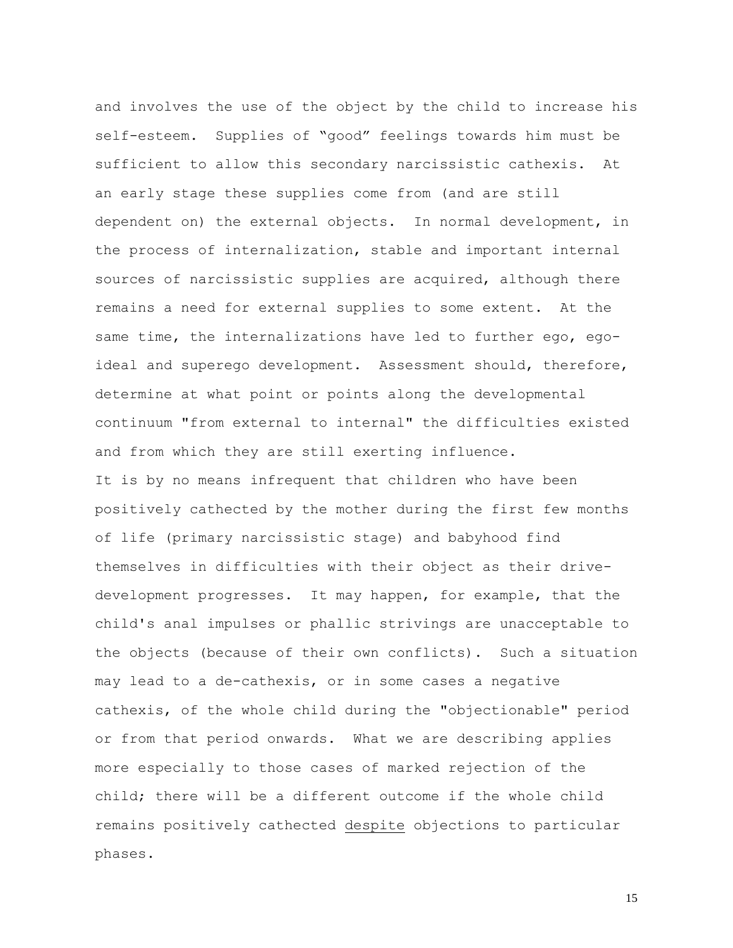and involves the use of the object by the child to increase his self-esteem. Supplies of "good" feelings towards him must be sufficient to allow this secondary narcissistic cathexis. At an early stage these supplies come from (and are still dependent on) the external objects. In normal development, in the process of internalization, stable and important internal sources of narcissistic supplies are acquired, although there remains a need for external supplies to some extent. At the same time, the internalizations have led to further ego, egoideal and superego development. Assessment should, therefore, determine at what point or points along the developmental continuum "from external to internal" the difficulties existed and from which they are still exerting influence. It is by no means infrequent that children who have been positively cathected by the mother during the first few months of life (primary narcissistic stage) and babyhood find themselves in difficulties with their object as their drivedevelopment progresses. It may happen, for example, that the child's anal impulses or phallic strivings are unacceptable to the objects (because of their own conflicts). Such a situation may lead to a de-cathexis, or in some cases a negative cathexis, of the whole child during the "objectionable" period or from that period onwards. What we are describing applies more especially to those cases of marked rejection of the child; there will be a different outcome if the whole child remains positively cathected despite objections to particular phases.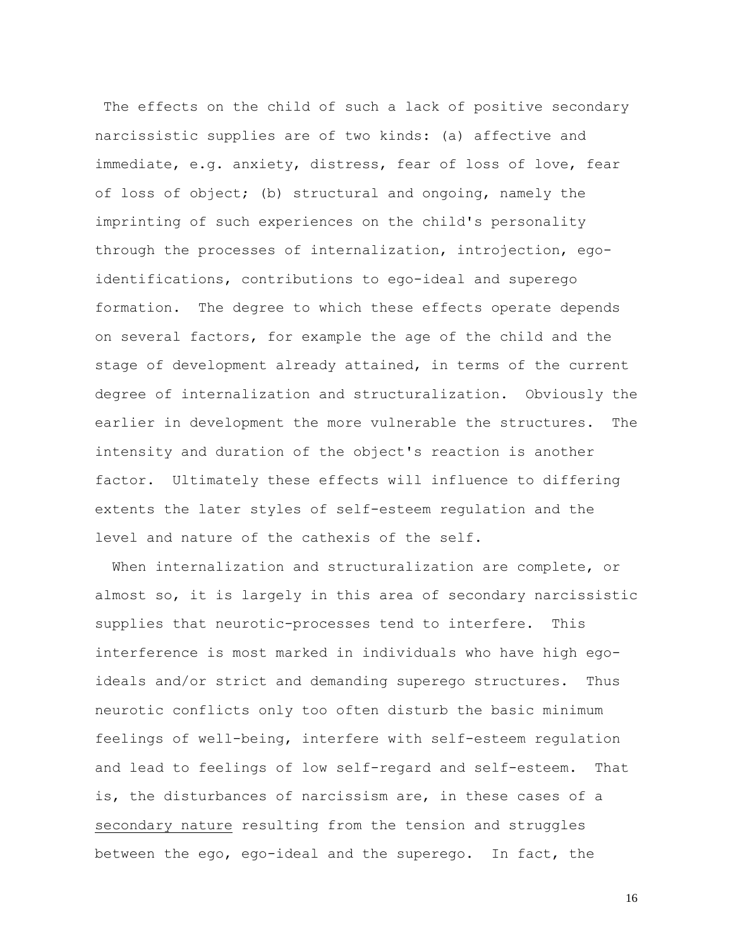The effects on the child of such a lack of positive secondary narcissistic supplies are of two kinds: (a) affective and immediate, e.g. anxiety, distress, fear of loss of love, fear of loss of object; (b) structural and ongoing, namely the imprinting of such experiences on the child's personality through the processes of internalization, introjection, egoidentifications, contributions to ego-ideal and superego formation. The degree to which these effects operate depends on several factors, for example the age of the child and the stage of development already attained, in terms of the current degree of internalization and structuralization. Obviously the earlier in development the more vulnerable the structures. The intensity and duration of the object's reaction is another factor. Ultimately these effects will influence to differing extents the later styles of self-esteem regulation and the level and nature of the cathexis of the self.

When internalization and structuralization are complete, or almost so, it is largely in this area of secondary narcissistic supplies that neurotic-processes tend to interfere. This interference is most marked in individuals who have high egoideals and/or strict and demanding superego structures. Thus neurotic conflicts only too often disturb the basic minimum feelings of well-being, interfere with self-esteem regulation and lead to feelings of low self-regard and self-esteem. That is, the disturbances of narcissism are, in these cases of a secondary nature resulting from the tension and struggles between the ego, ego-ideal and the superego. In fact, the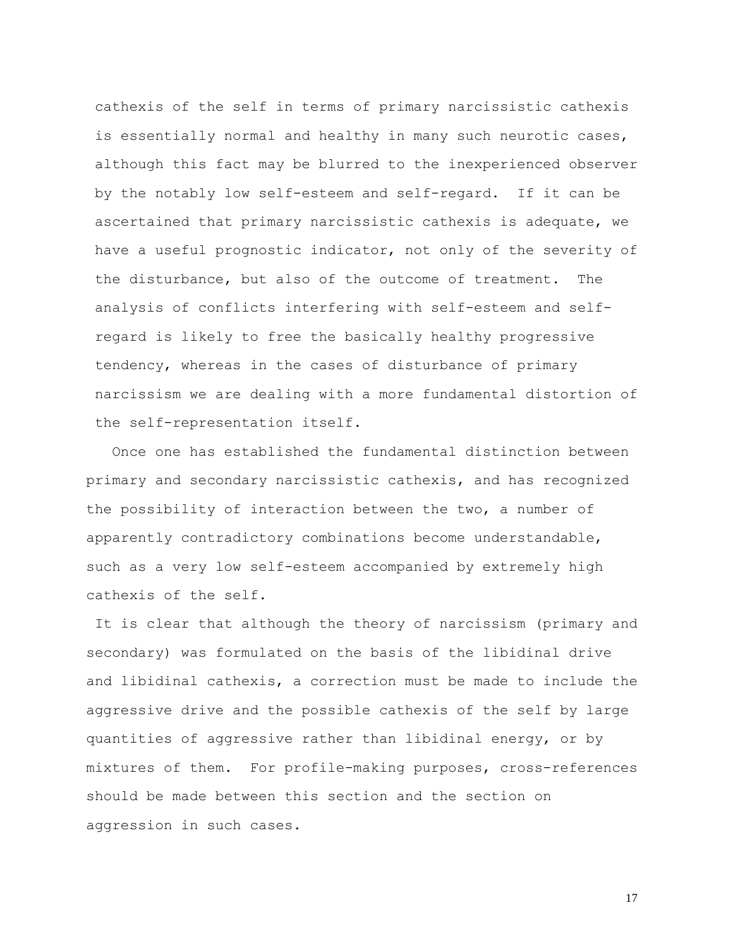cathexis of the self in terms of primary narcissistic cathexis is essentially normal and healthy in many such neurotic cases, although this fact may be blurred to the inexperienced observer by the notably low self-esteem and self-regard. If it can be ascertained that primary narcissistic cathexis is adequate, we have a useful prognostic indicator, not only of the severity of the disturbance, but also of the outcome of treatment. The analysis of conflicts interfering with self-esteem and selfregard is likely to free the basically healthy progressive tendency, whereas in the cases of disturbance of primary narcissism we are dealing with a more fundamental distortion of the self-representation itself.

 Once one has established the fundamental distinction between primary and secondary narcissistic cathexis, and has recognized the possibility of interaction between the two, a number of apparently contradictory combinations become understandable, such as a very low self-esteem accompanied by extremely high cathexis of the self.

It is clear that although the theory of narcissism (primary and secondary) was formulated on the basis of the libidinal drive and libidinal cathexis, a correction must be made to include the aggressive drive and the possible cathexis of the self by large quantities of aggressive rather than libidinal energy, or by mixtures of them. For profile-making purposes, cross-references should be made between this section and the section on aggression in such cases.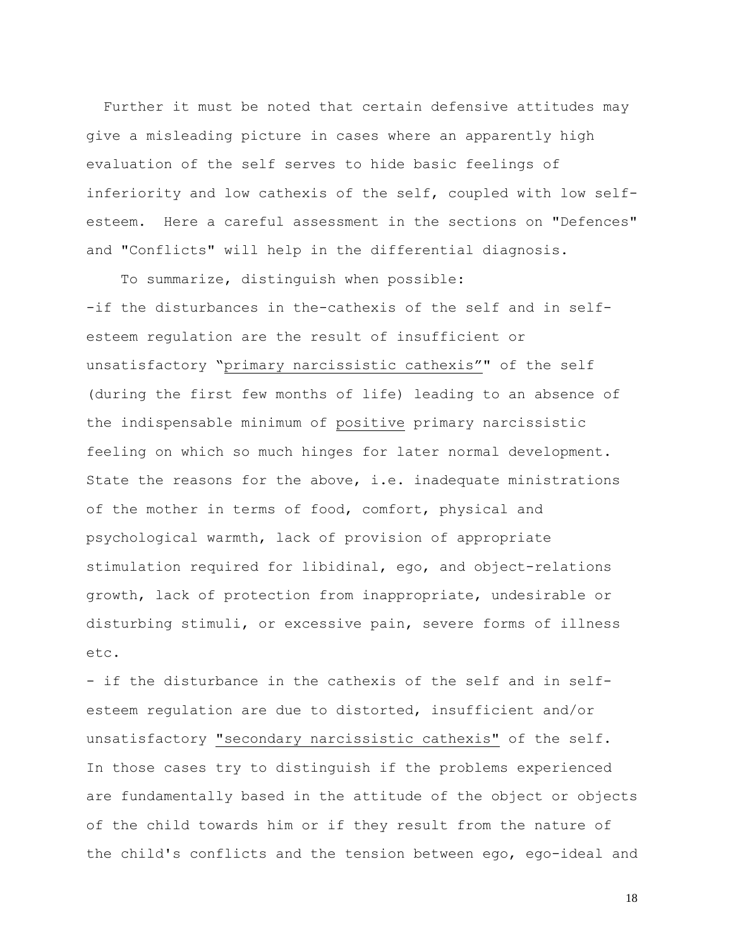Further it must be noted that certain defensive attitudes may give a misleading picture in cases where an apparently high evaluation of the self serves to hide basic feelings of inferiority and low cathexis of the self, coupled with low selfesteem. Here a careful assessment in the sections on "Defences" and "Conflicts" will help in the differential diagnosis.

To summarize, distinguish when possible: -if the disturbances in the-cathexis of the self and in selfesteem regulation are the result of insufficient or unsatisfactory "primary narcissistic cathexis"" of the self (during the first few months of life) leading to an absence of the indispensable minimum of positive primary narcissistic feeling on which so much hinges for later normal development. State the reasons for the above, i.e. inadequate ministrations of the mother in terms of food, comfort, physical and psychological warmth, lack of provision of appropriate stimulation required for libidinal, ego, and object-relations growth, lack of protection from inappropriate, undesirable or disturbing stimuli, or excessive pain, severe forms of illness etc.

- if the disturbance in the cathexis of the self and in selfesteem regulation are due to distorted, insufficient and/or unsatisfactory "secondary narcissistic cathexis" of the self. In those cases try to distinguish if the problems experienced are fundamentally based in the attitude of the object or objects of the child towards him or if they result from the nature of the child's conflicts and the tension between ego, ego-ideal and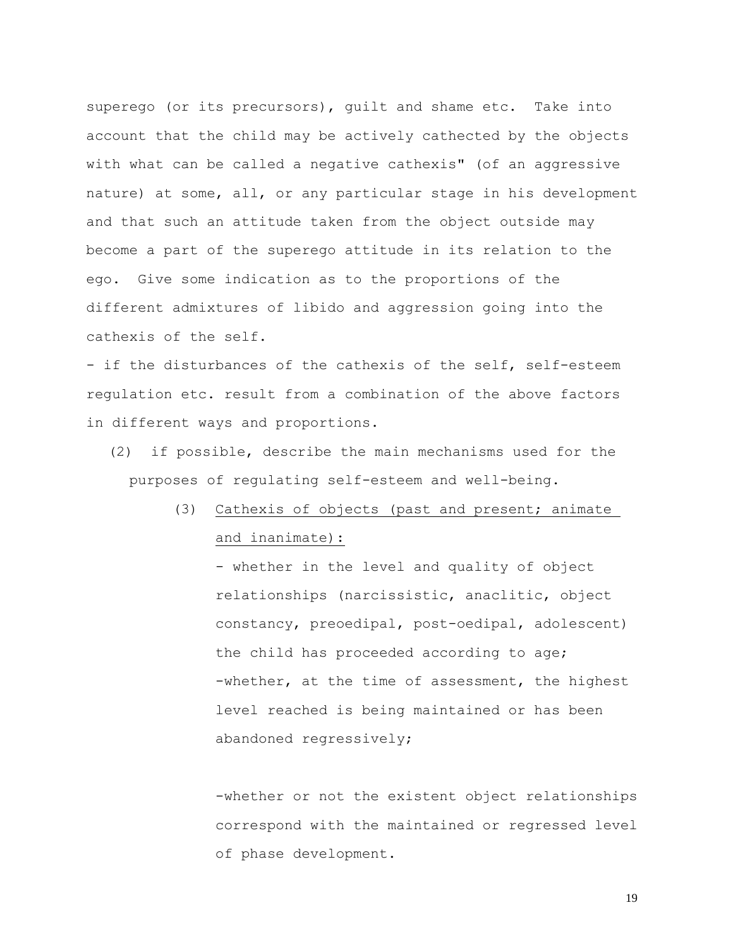superego (or its precursors), guilt and shame etc. Take into account that the child may be actively cathected by the objects with what can be called a negative cathexis" (of an aggressive nature) at some, all, or any particular stage in his development and that such an attitude taken from the object outside may become a part of the superego attitude in its relation to the ego. Give some indication as to the proportions of the different admixtures of libido and aggression going into the cathexis of the self.

- if the disturbances of the cathexis of the self, self-esteem regulation etc. result from a combination of the above factors in different ways and proportions.

- (2) if possible, describe the main mechanisms used for the purposes of regulating self-esteem and well-being.
	- (3) Cathexis of objects (past and present; animate and inanimate):

- whether in the level and quality of object relationships (narcissistic, anaclitic, object constancy, preoedipal, post-oedipal, adolescent) the child has proceeded according to age; -whether, at the time of assessment, the highest level reached is being maintained or has been abandoned regressively;

-whether or not the existent object relationships correspond with the maintained or regressed level of phase development.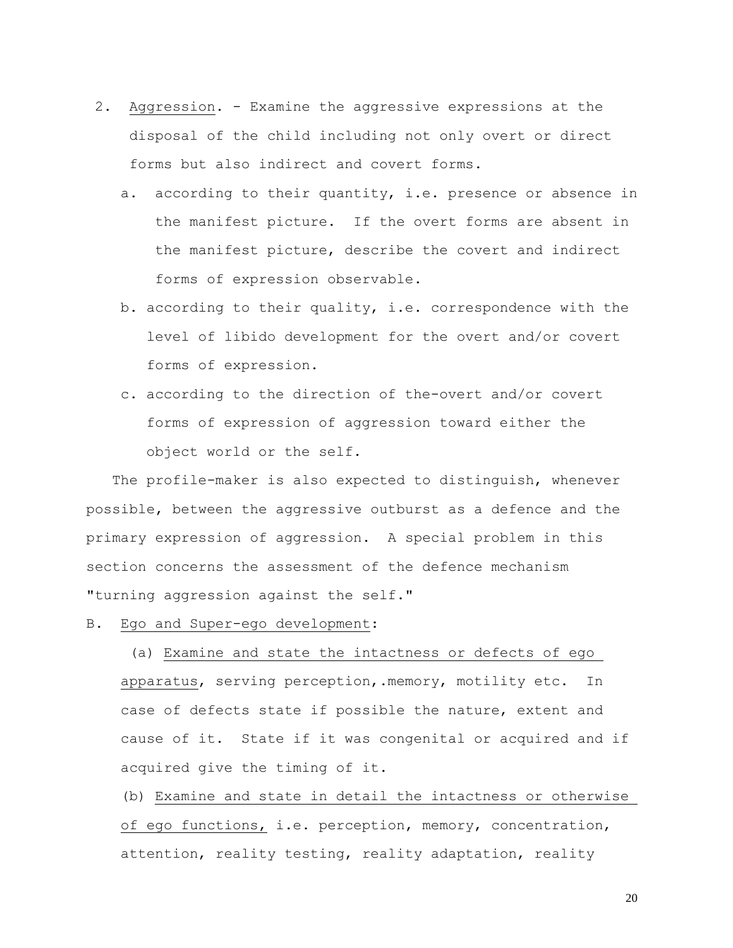- 2. Aggression. Examine the aggressive expressions at the disposal of the child including not only overt or direct forms but also indirect and covert forms.
	- a. according to their quantity, i.e. presence or absence in the manifest picture. If the overt forms are absent in the manifest picture, describe the covert and indirect forms of expression observable.
	- b. according to their quality, i.e. correspondence with the level of libido development for the overt and/or covert forms of expression.
	- c. according to the direction of the-overt and/or covert forms of expression of aggression toward either the object world or the self.

The profile-maker is also expected to distinguish, whenever possible, between the aggressive outburst as a defence and the primary expression of aggression. A special problem in this section concerns the assessment of the defence mechanism "turning aggression against the self."

B. Ego and Super-ego development:

(a) Examine and state the intactness or defects of ego apparatus, serving perception,.memory, motility etc. In case of defects state if possible the nature, extent and cause of it. State if it was congenital or acquired and if acquired give the timing of it.

(b) Examine and state in detail the intactness or otherwise of ego functions, i.e. perception, memory, concentration, attention, reality testing, reality adaptation, reality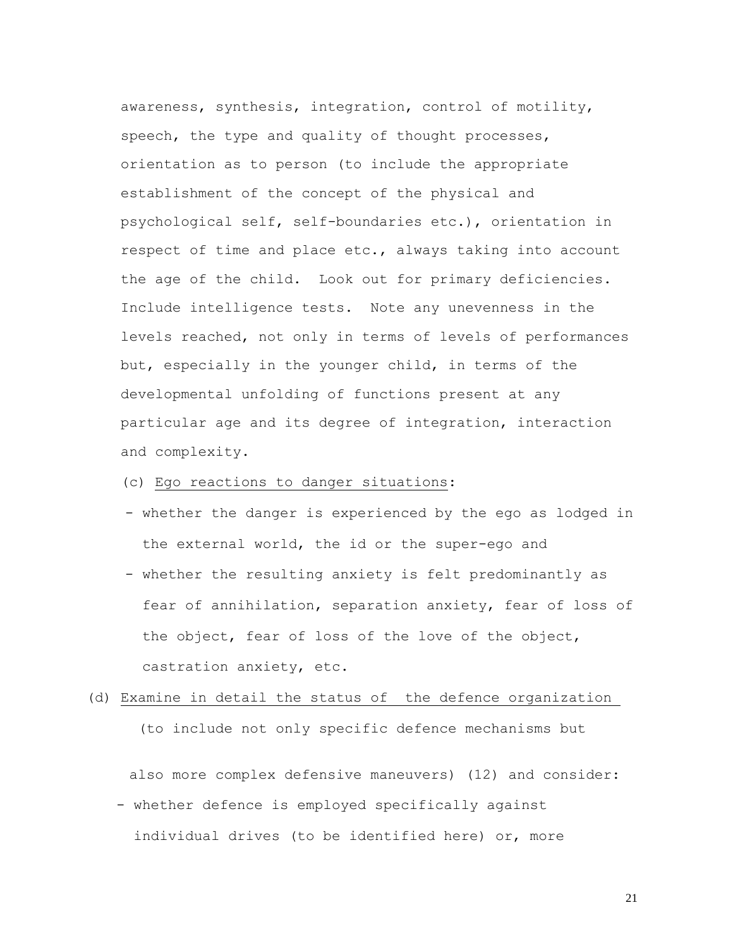awareness, synthesis, integration, control of motility, speech, the type and quality of thought processes, orientation as to person (to include the appropriate establishment of the concept of the physical and psychological self, self-boundaries etc.), orientation in respect of time and place etc., always taking into account the age of the child. Look out for primary deficiencies. Include intelligence tests. Note any unevenness in the levels reached, not only in terms of levels of performances but, especially in the younger child, in terms of the developmental unfolding of functions present at any particular age and its degree of integration, interaction and complexity.

# (c) Ego reactions to danger situations:

- whether the danger is experienced by the ego as lodged in the external world, the id or the super-ego and
- whether the resulting anxiety is felt predominantly as fear of annihilation, separation anxiety, fear of loss of the object, fear of loss of the love of the object, castration anxiety, etc.

# (d) Examine in detail the status of the defence organization (to include not only specific defence mechanisms but

also more complex defensive maneuvers) (12) and consider:

- whether defence is employed specifically against individual drives (to be identified here) or, more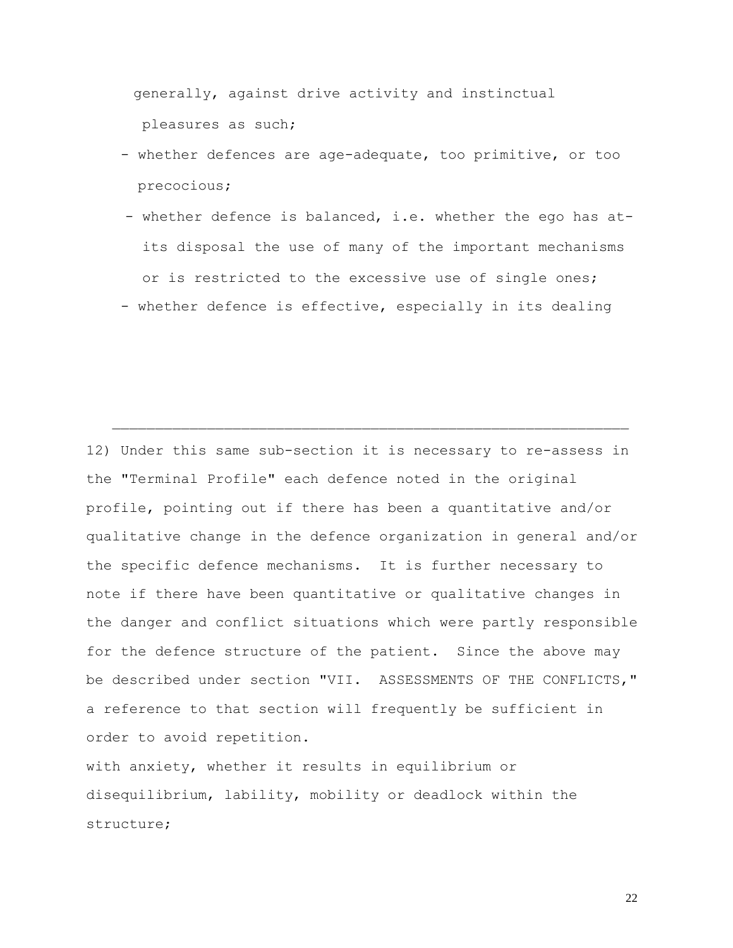generally, against drive activity and instinctual pleasures as such;

- whether defences are age-adequate, too primitive, or too precocious;
- whether defence is balanced, i.e. whether the ego has at its disposal the use of many of the important mechanisms or is restricted to the excessive use of single ones;
- whether defence is effective, especially in its dealing

12) Under this same sub-section it is necessary to re-assess in the "Terminal Profile" each defence noted in the original profile, pointing out if there has been a quantitative and/or qualitative change in the defence organization in general and/or the specific defence mechanisms. It is further necessary to note if there have been quantitative or qualitative changes in the danger and conflict situations which were partly responsible for the defence structure of the patient. Since the above may be described under section "VII. ASSESSMENTS OF THE CONFLICTS," a reference to that section will frequently be sufficient in order to avoid repetition.

with anxiety, whether it results in equilibrium or disequilibrium, lability, mobility or deadlock within the structure;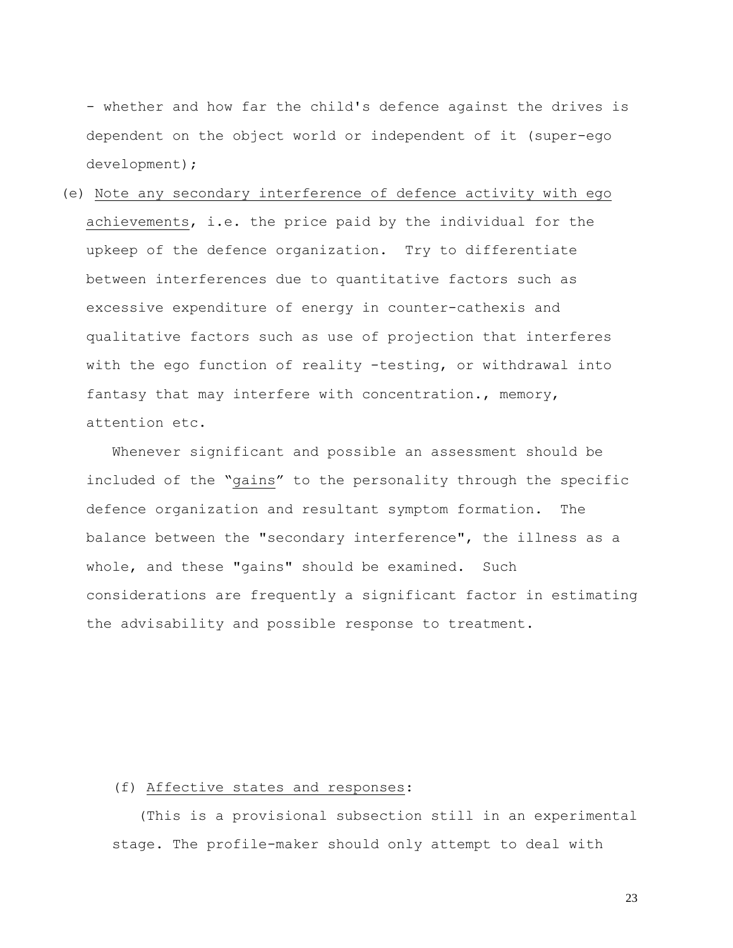- whether and how far the child's defence against the drives is dependent on the object world or independent of it (super-ego development);

# (e) Note any secondary interference of defence activity with ego achievements, i.e. the price paid by the individual for the upkeep of the defence organization. Try to differentiate between interferences due to quantitative factors such as excessive expenditure of energy in counter-cathexis and qualitative factors such as use of projection that interferes with the ego function of reality -testing, or withdrawal into fantasy that may interfere with concentration., memory, attention etc.

 Whenever significant and possible an assessment should be included of the "gains" to the personality through the specific defence organization and resultant symptom formation. The balance between the "secondary interference", the illness as a whole, and these "gains" should be examined. Such considerations are frequently a significant factor in estimating the advisability and possible response to treatment.

### (f) Affective states and responses:

 (This is a provisional subsection still in an experimental stage. The profile-maker should only attempt to deal with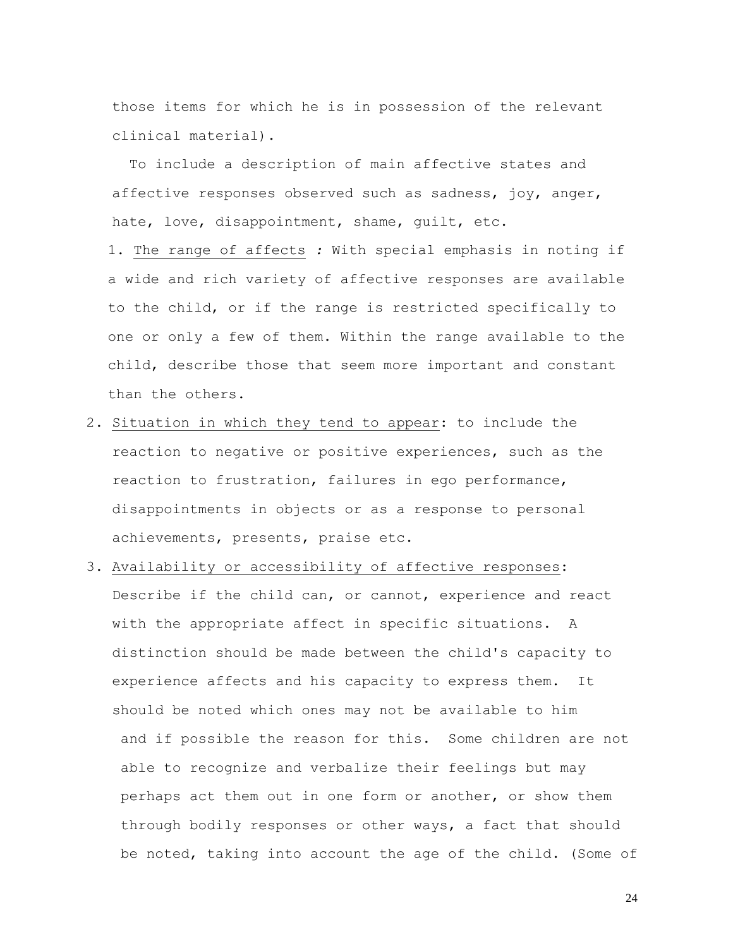those items for which he is in possession of the relevant clinical material).

To include a description of main affective states and affective responses observed such as sadness, joy, anger, hate, love, disappointment, shame, guilt, etc.

1. The range of affects *:* With special emphasis in noting if a wide and rich variety of affective responses are available to the child, or if the range is restricted specifically to one or only a few of them. Within the range available to the child, describe those that seem more important and constant than the others.

- 2. Situation in which they tend to appear: to include the reaction to negative or positive experiences, such as the reaction to frustration, failures in ego performance, disappointments in objects or as a response to personal achievements, presents, praise etc.
- 3. Availability or accessibility of affective responses: Describe if the child can, or cannot, experience and react with the appropriate affect in specific situations. A distinction should be made between the child's capacity to experience affects and his capacity to express them. It should be noted which ones may not be available to him and if possible the reason for this. Some children are not able to recognize and verbalize their feelings but may perhaps act them out in one form or another, or show them through bodily responses or other ways, a fact that should be noted, taking into account the age of the child. (Some of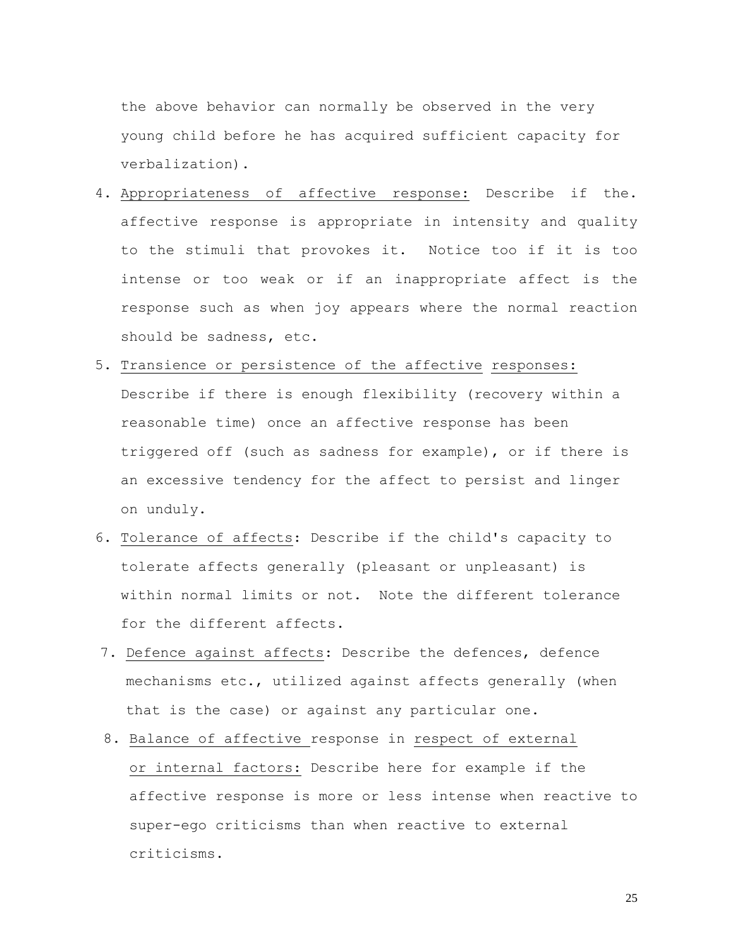the above behavior can normally be observed in the very young child before he has acquired sufficient capacity for verbalization).

- 4. Appropriateness of affective response: Describe if the. affective response is appropriate in intensity and quality to the stimuli that provokes it. Notice too if it is too intense or too weak or if an inappropriate affect is the response such as when joy appears where the normal reaction should be sadness, etc.
- 5. Transience or persistence of the affective responses: Describe if there is enough flexibility (recovery within a reasonable time) once an affective response has been triggered off (such as sadness for example), or if there is an excessive tendency for the affect to persist and linger on unduly.
- 6. Tolerance of affects: Describe if the child's capacity to tolerate affects generally (pleasant or unpleasant) is within normal limits or not. Note the different tolerance for the different affects.
- 7. Defence against affects: Describe the defences, defence mechanisms etc., utilized against affects generally (when that is the case) or against any particular one.
- 8. Balance of affective response in respect of external or internal factors: Describe here for example if the affective response is more or less intense when reactive to super-ego criticisms than when reactive to external criticisms.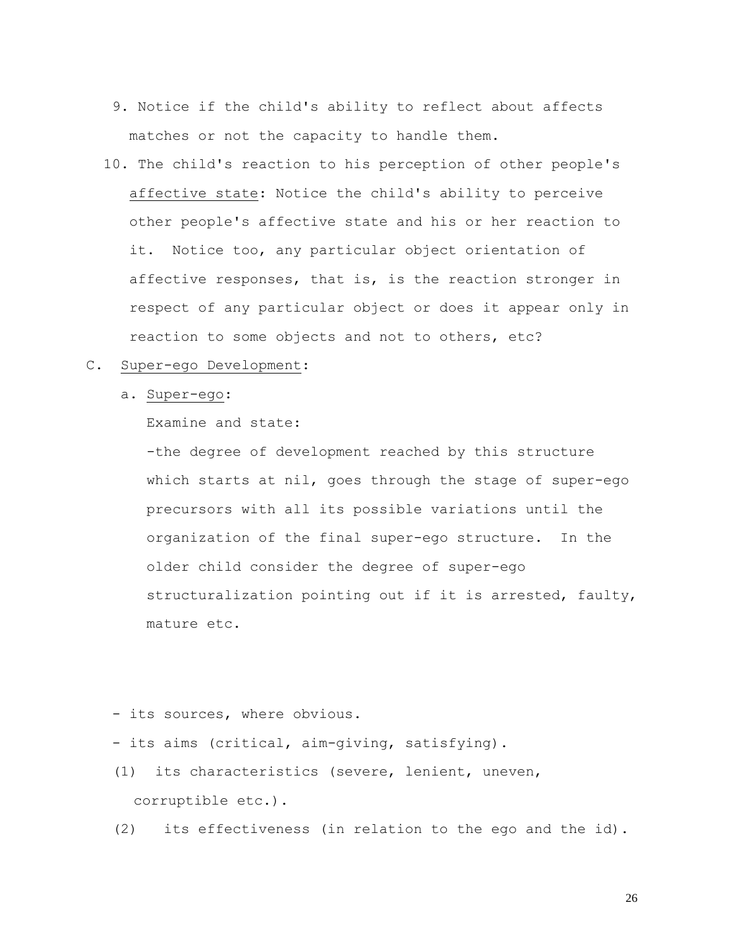- 9. Notice if the child's ability to reflect about affects matches or not the capacity to handle them.
- 10. The child's reaction to his perception of other people's affective state: Notice the child's ability to perceive other people's affective state and his or her reaction to it. Notice too, any particular object orientation of affective responses, that is, is the reaction stronger in respect of any particular object or does it appear only in reaction to some objects and not to others, etc?
- C. Super-ego Development:
	- a. Super-ego:

Examine and state:

-the degree of development reached by this structure which starts at nil, goes through the stage of super-ego precursors with all its possible variations until the organization of the final super-ego structure. In the older child consider the degree of super-ego structuralization pointing out if it is arrested, faulty, mature etc.

- its sources, where obvious.

- its aims (critical, aim-giving, satisfying).
- (1) its characteristics (severe, lenient, uneven, corruptible etc.).
- (2) its effectiveness (in relation to the ego and the id).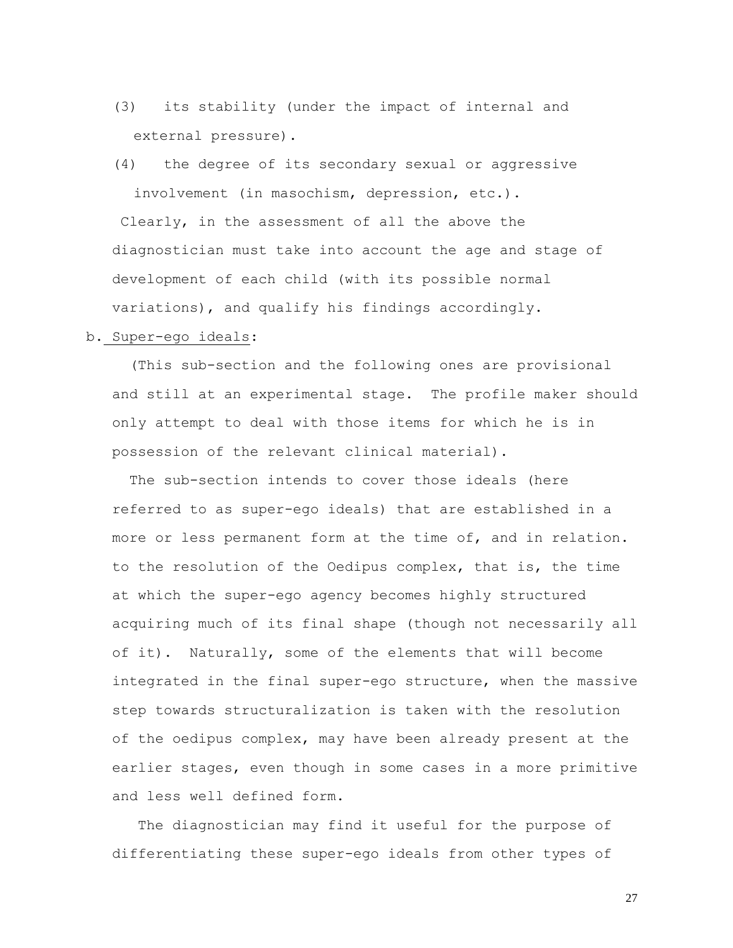- (3) its stability (under the impact of internal and external pressure).
- (4) the degree of its secondary sexual or aggressive involvement (in masochism, depression, etc.). Clearly, in the assessment of all the above the diagnostician must take into account the age and stage of development of each child (with its possible normal variations), and qualify his findings accordingly.

### b. Super-ego ideals:

(This sub-section and the following ones are provisional and still at an experimental stage. The profile maker should only attempt to deal with those items for which he is in possession of the relevant clinical material).

The sub-section intends to cover those ideals (here referred to as super-ego ideals) that are established in a more or less permanent form at the time of, and in relation. to the resolution of the Oedipus complex, that is, the time at which the super-ego agency becomes highly structured acquiring much of its final shape (though not necessarily all of it). Naturally, some of the elements that will become integrated in the final super-ego structure, when the massive step towards structuralization is taken with the resolution of the oedipus complex, may have been already present at the earlier stages, even though in some cases in a more primitive and less well defined form.

 The diagnostician may find it useful for the purpose of differentiating these super-ego ideals from other types of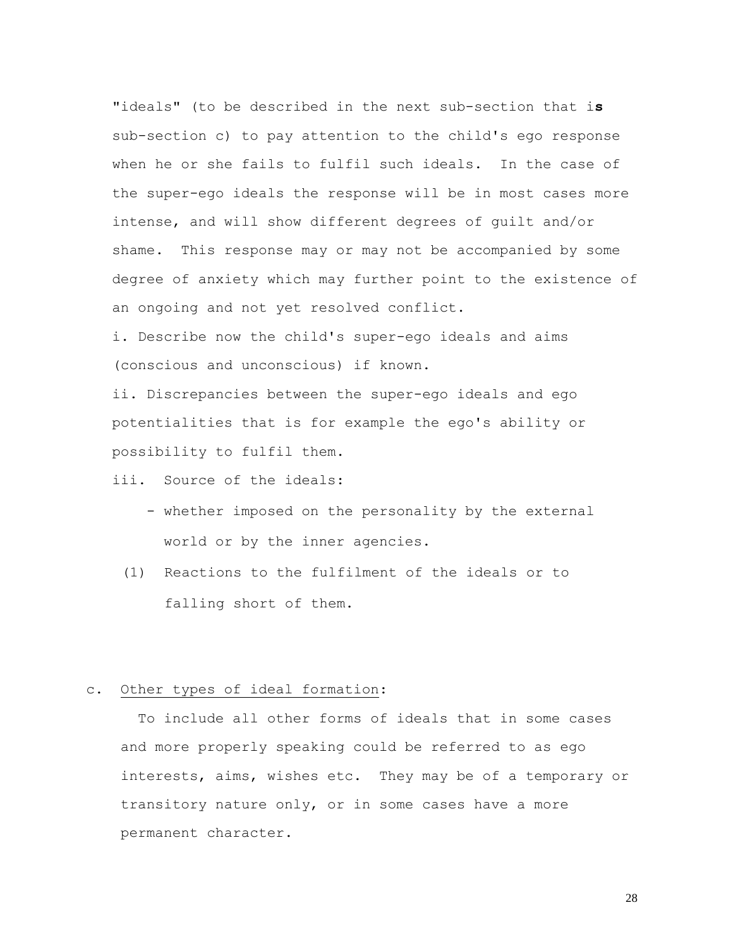"ideals" (to be described in the next sub-section that i**s** sub-section c) to pay attention to the child's ego response when he or she fails to fulfil such ideals. In the case of the super-ego ideals the response will be in most cases more intense, and will show different degrees of guilt and/or shame. This response may or may not be accompanied by some degree of anxiety which may further point to the existence of an ongoing and not yet resolved conflict.

i. Describe now the child's super-ego ideals and aims (conscious and unconscious) if known.

ii. Discrepancies between the super-ego ideals and ego potentialities that is for example the ego's ability or possibility to fulfil them.

- iii. Source of the ideals:
	- whether imposed on the personality by the external world or by the inner agencies.
	- (1) Reactions to the fulfilment of the ideals or to falling short of them.

## c. Other types of ideal formation:

To include all other forms of ideals that in some cases and more properly speaking could be referred to as ego interests, aims, wishes etc. They may be of a temporary or transitory nature only, or in some cases have a more permanent character.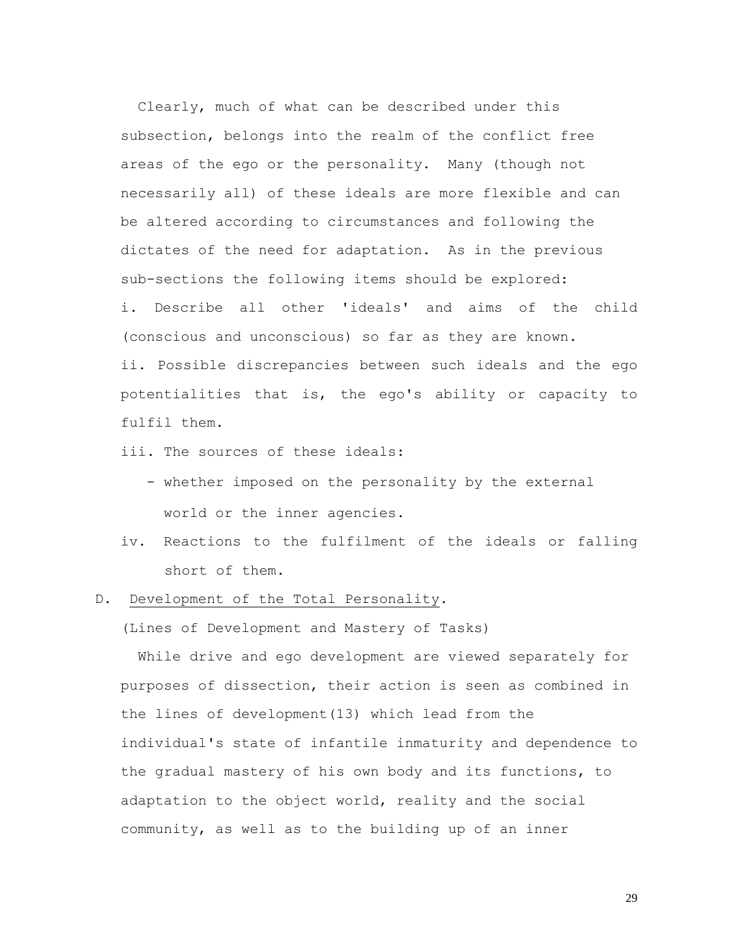Clearly, much of what can be described under this subsection, belongs into the realm of the conflict free areas of the ego or the personality. Many (though not necessarily all) of these ideals are more flexible and can be altered according to circumstances and following the dictates of the need for adaptation. As in the previous sub-sections the following items should be explored: i. Describe all other 'ideals' and aims of the child (conscious and unconscious) so far as they are known. ii. Possible discrepancies between such ideals and the ego potentialities that is, the ego's ability or capacity to fulfil them.

- iii. The sources of these ideals:
	- whether imposed on the personality by the external world or the inner agencies.
- iv. Reactions to the fulfilment of the ideals or falling short of them.
- D. Development of the Total Personality.

(Lines of Development and Mastery of Tasks)

While drive and ego development are viewed separately for purposes of dissection, their action is seen as combined in the lines of development(13) which lead from the individual's state of infantile inmaturity and dependence to the gradual mastery of his own body and its functions, to adaptation to the object world, reality and the social community, as well as to the building up of an inner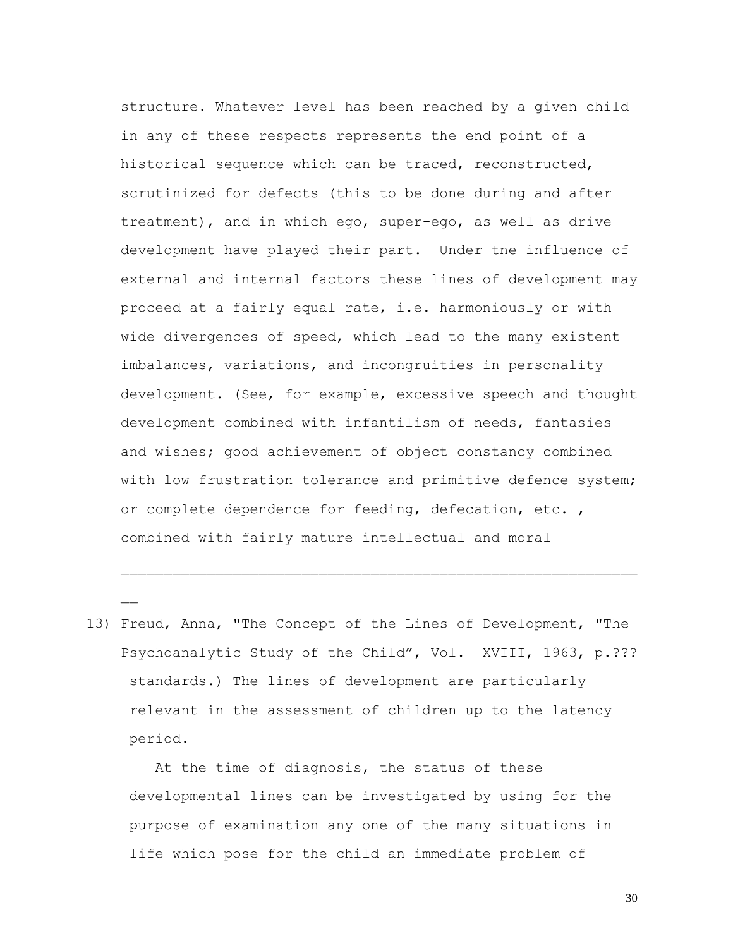structure. Whatever level has been reached by a given child in any of these respects represents the end point of a historical sequence which can be traced, reconstructed, scrutinized for defects (this to be done during and after treatment), and in which ego, super-ego, as well as drive development have played their part. Under tne influence of external and internal factors these lines of development may proceed at a fairly equal rate, i.e. harmoniously or with wide divergences of speed, which lead to the many existent imbalances, variations, and incongruities in personality development. (See, for example, excessive speech and thought development combined with infantilism of needs, fantasies and wishes; good achievement of object constancy combined with low frustration tolerance and primitive defence system; or complete dependence for feeding, defecation, etc. , combined with fairly mature intellectual and moral

13) Freud, Anna, "The Concept of the Lines of Development, "The Psychoanalytic Study of the Child", Vol. XVIII, 1963, p.??? standards.) The lines of development are particularly relevant in the assessment of children up to the latency period.

 At the time of diagnosis, the status of these developmental lines can be investigated by using for the purpose of examination any one of the many situations in life which pose for the child an immediate problem of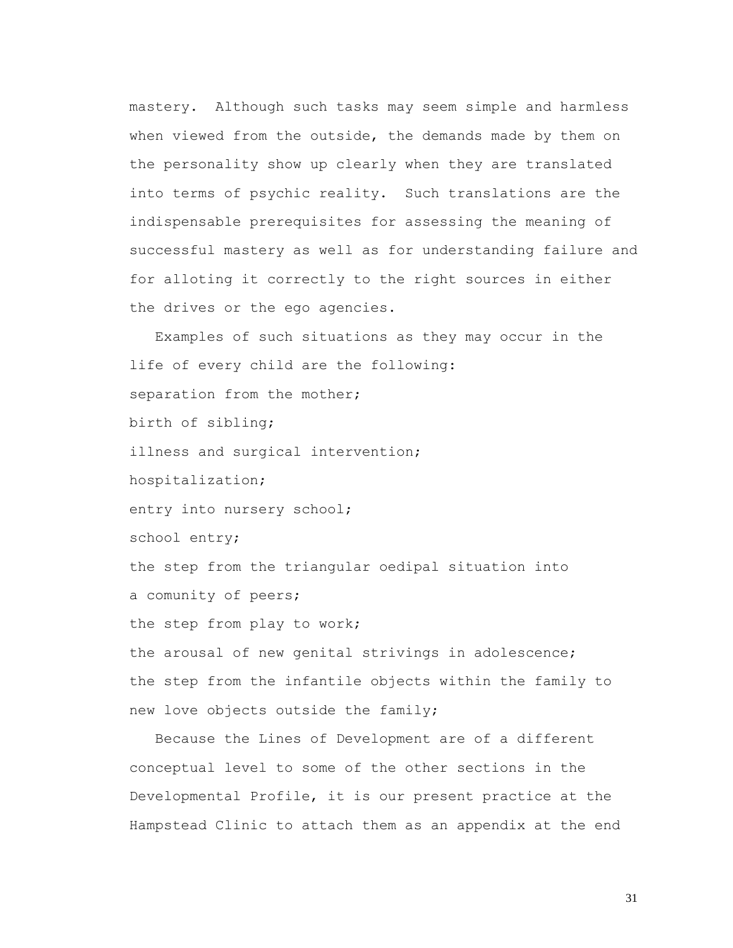mastery. Although such tasks may seem simple and harmless when viewed from the outside, the demands made by them on the personality show up clearly when they are translated into terms of psychic reality. Such translations are the indispensable prerequisites for assessing the meaning of successful mastery as well as for understanding failure and for alloting it correctly to the right sources in either the drives or the ego agencies.

 Examples of such situations as they may occur in the life of every child are the following: separation from the mother; birth of sibling; illness and surgical intervention; hospitalization; entry into nursery school; school entry; the step from the triangular oedipal situation into a comunity of peers; the step from play to work; the arousal of new genital strivings in adolescence; the step from the infantile objects within the family to new love objects outside the family;

 Because the Lines of Development are of a different conceptual level to some of the other sections in the Developmental Profile, it is our present practice at the Hampstead Clinic to attach them as an appendix at the end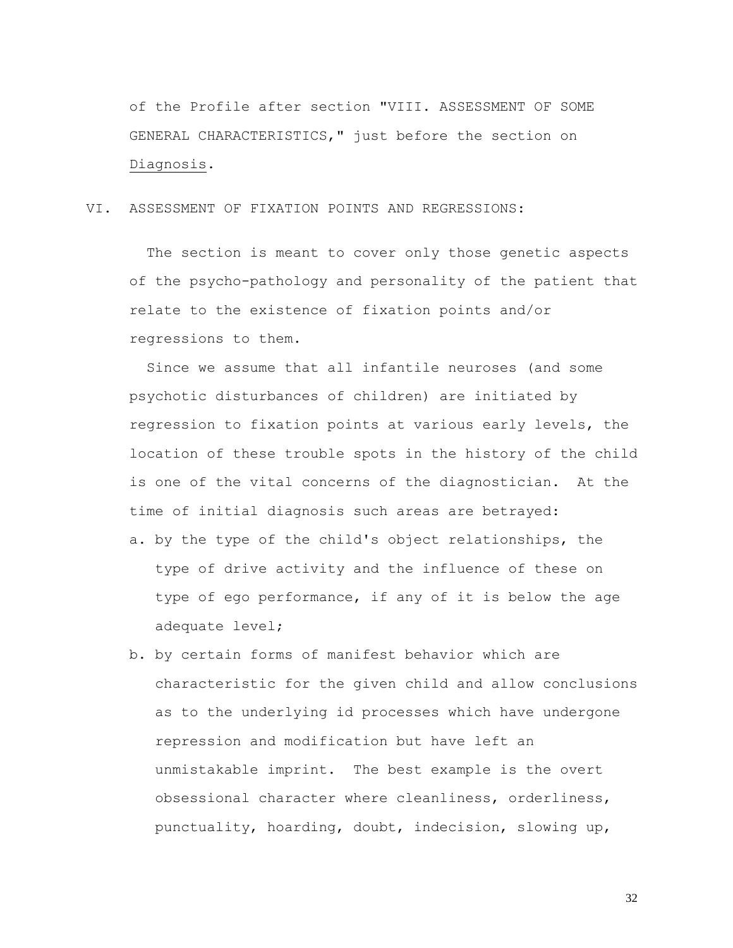of the Profile after section "VIII. ASSESSMENT OF SOME GENERAL CHARACTERISTICS," just before the section on Diagnosis.

VI. ASSESSMENT OF FIXATION POINTS AND REGRESSIONS:

The section is meant to cover only those genetic aspects of the psycho-pathology and personality of the patient that relate to the existence of fixation points and/or regressions to them.

Since we assume that all infantile neuroses (and some psychotic disturbances of children) are initiated by regression to fixation points at various early levels, the location of these trouble spots in the history of the child is one of the vital concerns of the diagnostician. At the time of initial diagnosis such areas are betrayed:

- a. by the type of the child's object relationships, the type of drive activity and the influence of these on type of ego performance, if any of it is below the age adequate level;
- b. by certain forms of manifest behavior which are characteristic for the given child and allow conclusions as to the underlying id processes which have undergone repression and modification but have left an unmistakable imprint. The best example is the overt obsessional character where cleanliness, orderliness, punctuality, hoarding, doubt, indecision, slowing up,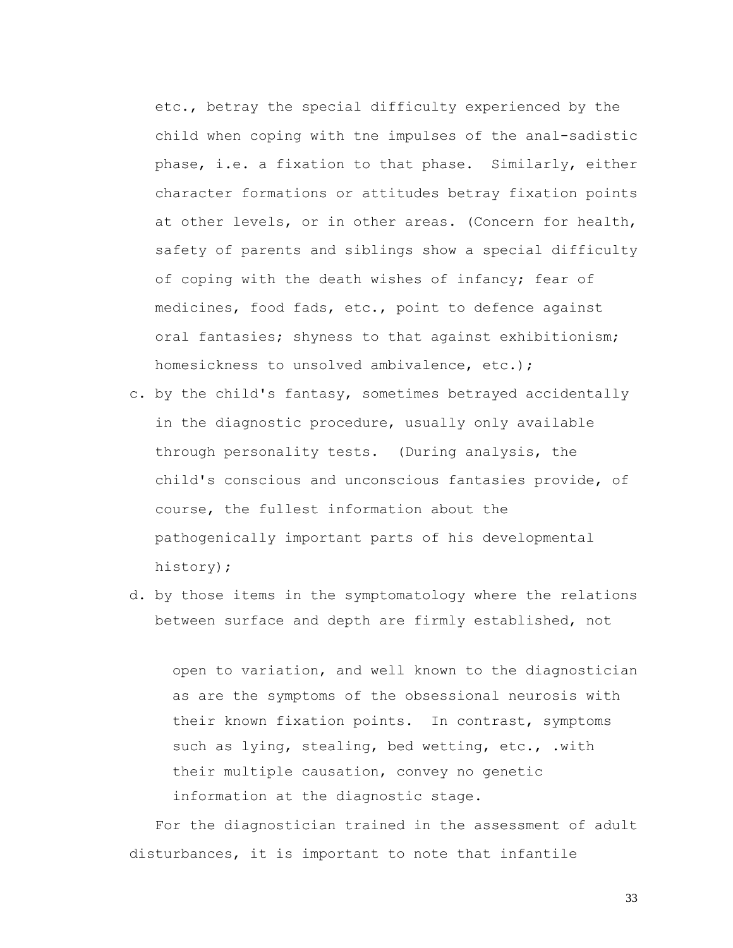etc., betray the special difficulty experienced by the child when coping with tne impulses of the anal-sadistic phase, i.e. a fixation to that phase. Similarly, either character formations or attitudes betray fixation points at other levels, or in other areas. (Concern for health, safety of parents and siblings show a special difficulty of coping with the death wishes of infancy; fear of medicines, food fads, etc., point to defence against oral fantasies; shyness to that against exhibitionism; homesickness to unsolved ambivalence, etc.);

- c**.** by the child's fantasy, sometimes betrayed accidentally in the diagnostic procedure, usually only available through personality tests. (During analysis, the child's conscious and unconscious fantasies provide, of course, the fullest information about the pathogenically important parts of his developmental history);
- d. by those items in the symptomatology where the relations between surface and depth are firmly established, not

open to variation, and well known to the diagnostician as are the symptoms of the obsessional neurosis with their known fixation points. In contrast, symptoms such as lying, stealing, bed wetting, etc., .with their multiple causation, convey no genetic information at the diagnostic stage.

 For the diagnostician trained in the assessment of adult disturbances, it is important to note that infantile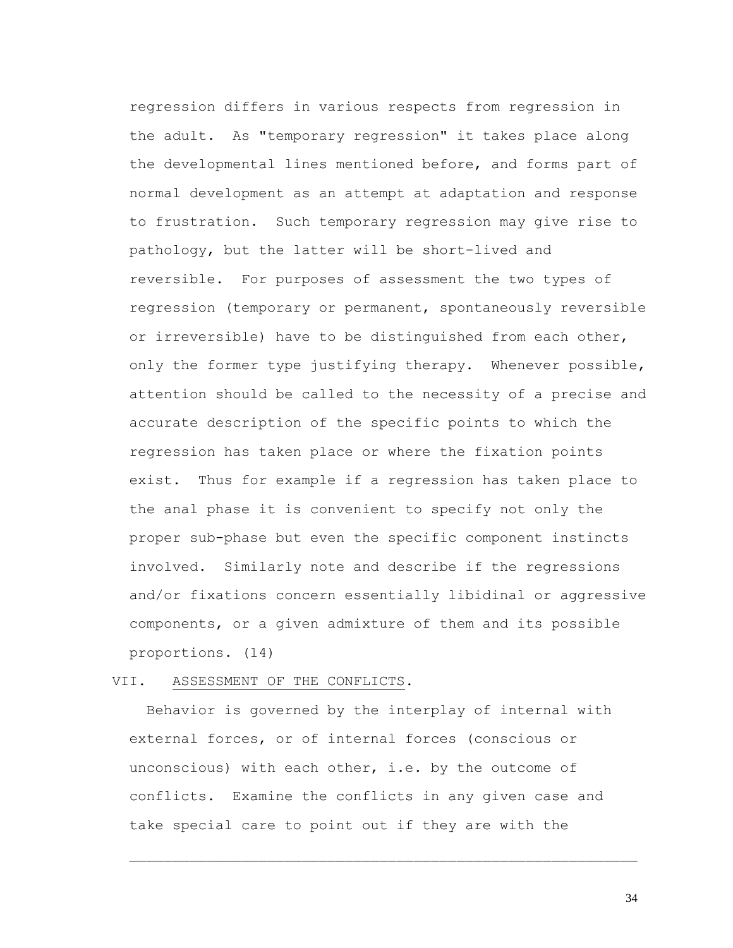regression differs in various respects from regression in the adult. As "temporary regression" it takes place along the developmental lines mentioned before, and forms part of normal development as an attempt at adaptation and response to frustration. Such temporary regression may give rise to pathology, but the latter will be short-lived and reversible. For purposes of assessment the two types of regression (temporary or permanent, spontaneously reversible or irreversible) have to be distinguished from each other, only the former type justifying therapy. Whenever possible, attention should be called to the necessity of a precise and accurate description of the specific points to which the regression has taken place or where the fixation points exist. Thus for example if a regression has taken place to the anal phase it is convenient to specify not only the proper sub-phase but even the specific component instincts involved. Similarly note and describe if the regressions and/or fixations concern essentially libidinal or aggressive components, or a given admixture of them and its possible proportions. (14)

### VII. ASSESSMENT OF THE CONFLICTS.

 Behavior is governed by the interplay of internal with external forces, or of internal forces (conscious or unconscious) with each other, i.e. by the outcome of conflicts. Examine the conflicts in any given case and take special care to point out if they are with the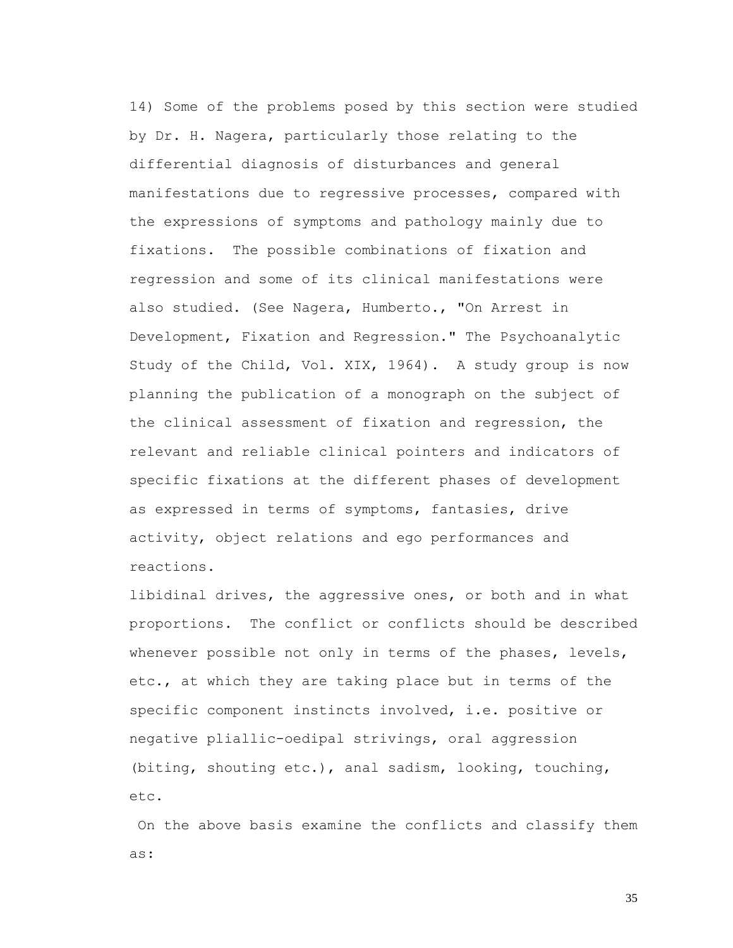14) Some of the problems posed by this section were studied by Dr. H. Nagera, particularly those relating to the differential diagnosis of disturbances and general manifestations due to regressive processes, compared with the expressions of symptoms and pathology mainly due to fixations. The possible combinations of fixation and regression and some of its clinical manifestations were also studied. (See Nagera, Humberto., "On Arrest in Development, Fixation and Regression." The Psychoanalytic Study of the Child, Vol. XIX, 1964). A study group is now planning the publication of a monograph on the subject of the clinical assessment of fixation and regression, the relevant and reliable clinical pointers and indicators of specific fixations at the different phases of development as expressed in terms of symptoms, fantasies, drive activity, object relations and ego performances and reactions.

libidinal drives, the aggressive ones, or both and in what proportions. The conflict or conflicts should be described whenever possible not only in terms of the phases, levels, etc., at which they are taking place but in terms of the specific component instincts involved, i.e. positive or negative pliallic-oedipal strivings, oral aggression (biting, shouting etc.), anal sadism, looking, touching, etc.

On the above basis examine the conflicts and classify them as: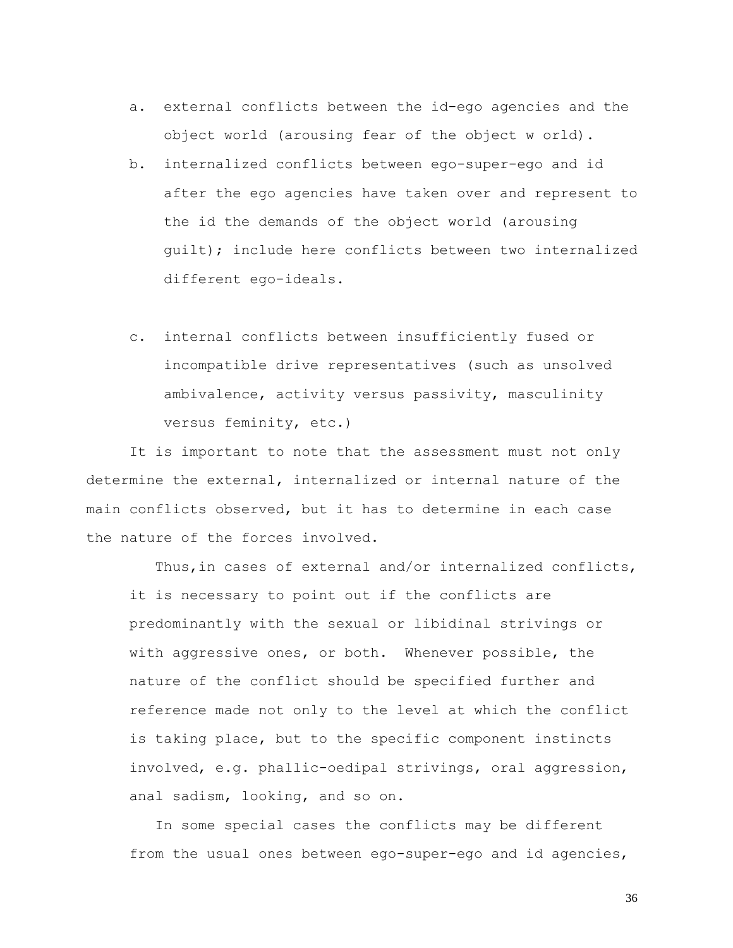- a. external conflicts between the id-ego agencies and the object world (arousing fear of the object w orld)**.**
- b. internalized conflicts between ego-super-ego and id after the ego agencies have taken over and represent to the id the demands of the object world (arousing guilt); include here conflicts between two internalized different ego-ideals.
- c. internal conflicts between insufficiently fused or incompatible drive representatives (such as unsolved ambivalence, activity versus passivity, masculinity versus feminity, etc.)

It is important to note that the assessment must not only determine the external, internalized or internal nature of the main conflicts observed, but it has to determine in each case the nature of the forces involved.

Thus,in cases of external and/or internalized conflicts, it is necessary to point out if the conflicts are predominantly with the sexual or libidinal strivings or with aggressive ones, or both. Whenever possible, the nature of the conflict should be specified further and reference made not only to the level at which the conflict is taking place, but to the specific component instincts involved, e.g. phallic-oedipal strivings, oral aggression, anal sadism, looking, and so on.

In some special cases the conflicts may be different from the usual ones between ego-super-ego and id agencies,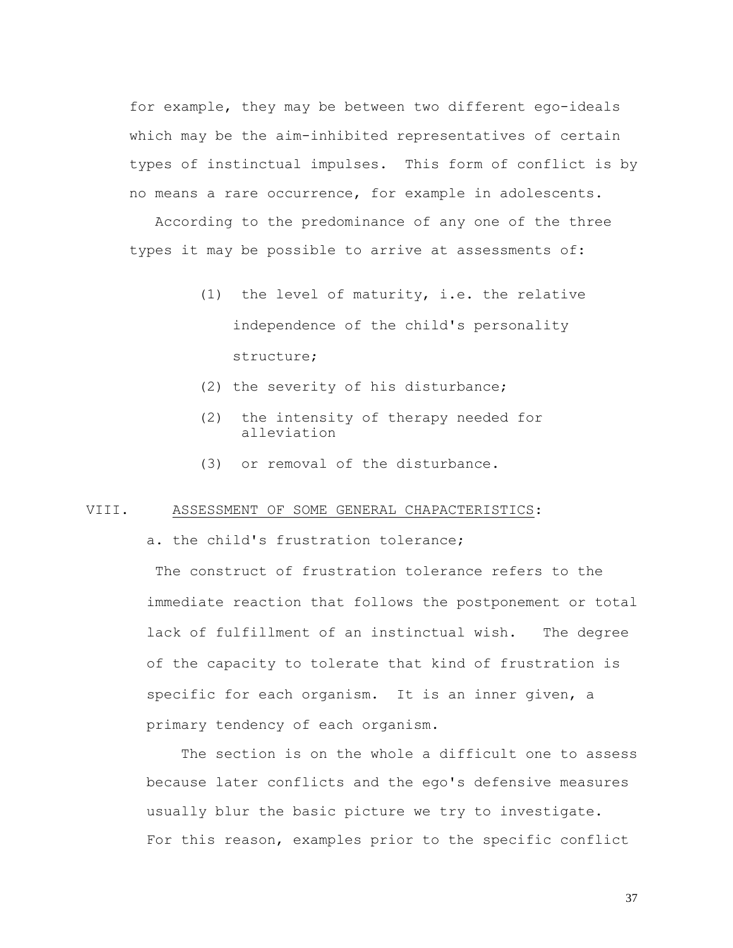for example, they may be between two different ego-ideals which may be the aim-inhibited representatives of certain types of instinctual impulses. This form of conflict is by no means a rare occurrence, for example in adolescents.

According to the predominance of any one of the three types it may be possible to arrive at assessments of:

- (1) the level of maturity, i.e. the relative independence of the child's personality structure;
- (2) the severity of his disturbance;
- (2) the intensity of therapy needed for alleviation
- (3) or removal of the disturbance.

### VIII. ASSESSMENT OF SOME GENERAL CHAPACTERISTICS:

a. the child's frustration tolerance;

The construct of frustration tolerance refers to the immediate reaction that follows the postponement or total lack of fulfillment of an instinctual wish. The degree of the capacity to tolerate that kind of frustration is specific for each organism. It is an inner given, a primary tendency of each organism.

 The section is on the whole a difficult one to assess because later conflicts and the ego's defensive measures usually blur the basic picture we try to investigate. For this reason, examples prior to the specific conflict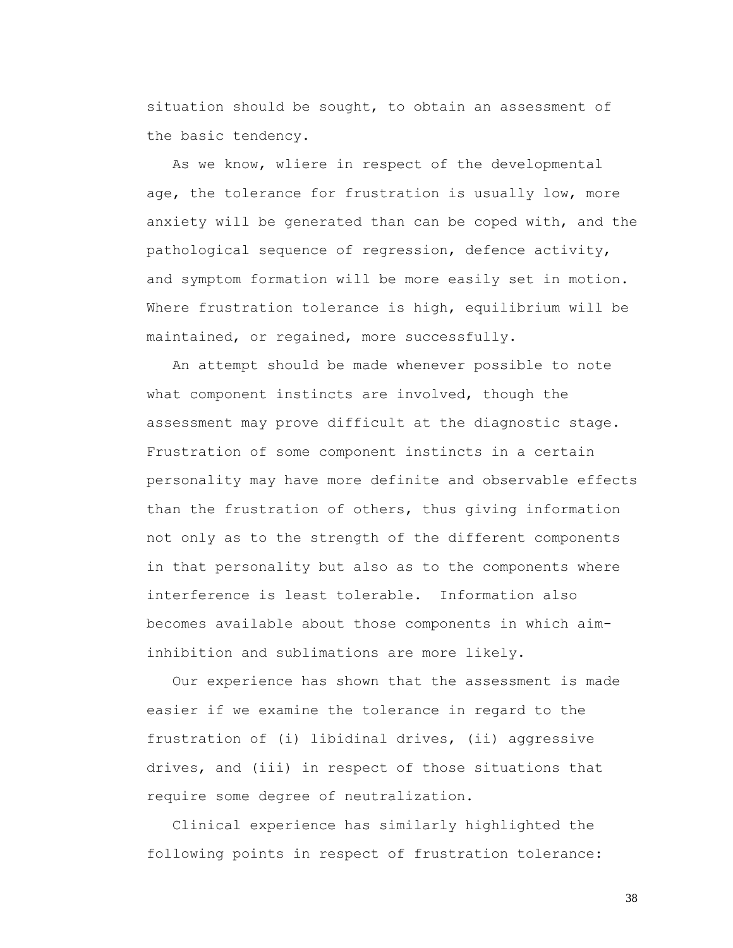situation should be sought, to obtain an assessment of the basic tendency.

 As we know, wliere in respect of the developmental age, the tolerance for frustration is usually low, more anxiety will be generated than can be coped with, and the pathological sequence of regression, defence activity, and symptom formation will be more easily set in motion. Where frustration tolerance is high, equilibrium will be maintained, or regained, more successfully.

 An attempt should be made whenever possible to note what component instincts are involved, though the assessment may prove difficult at the diagnostic stage. Frustration of some component instincts in a certain personality may have more definite and observable effects than the frustration of others, thus giving information not only as to the strength of the different components in that personality but also as to the components where interference is least tolerable. Information also becomes available about those components in which aiminhibition and sublimations are more likely.

 Our experience has shown that the assessment is made easier if we examine the tolerance in regard to the frustration of (i) libidinal drives, (ii) aggressive drives, and (iii) in respect of those situations that require some degree of neutralization.

 Clinical experience has similarly highlighted the following points in respect of frustration tolerance: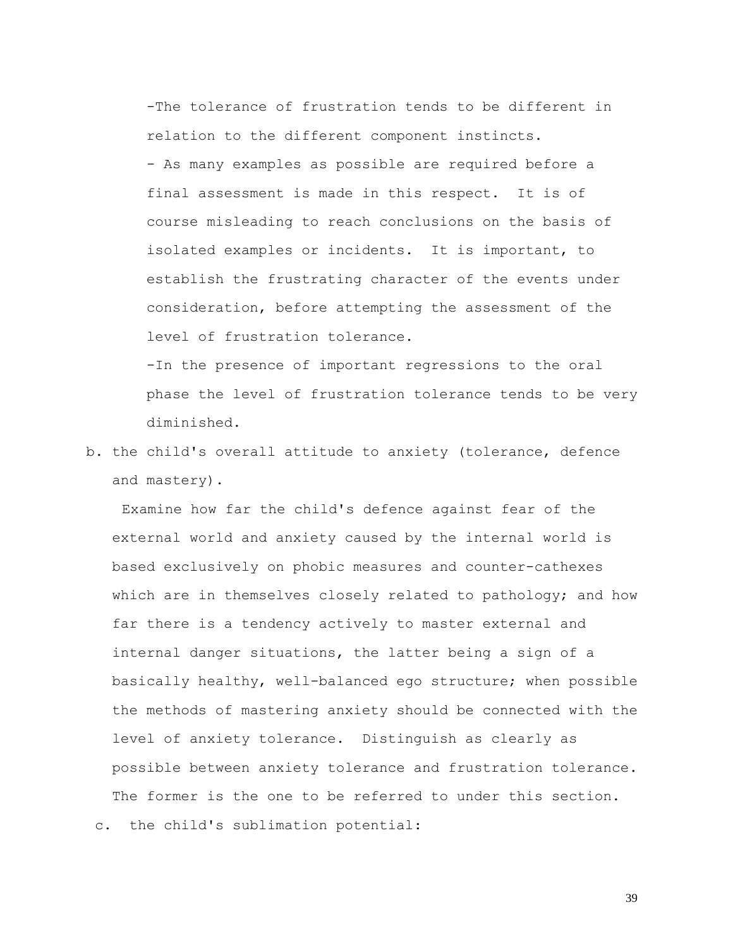-The tolerance of frustration tends to be different in relation to the different component instincts. - As many examples as possible are required before a final assessment is made in this respect. It is of course misleading to reach conclusions on the basis of isolated examples or incidents. It is important, to establish the frustrating character of the events under consideration, before attempting the assessment of the level of frustration tolerance.

-In the presence of important regressions to the oral phase the level of frustration tolerance tends to be very diminished.

b. the child's overall attitude to anxiety (tolerance, defence and mastery).

Examine how far the child's defence against fear of the external world and anxiety caused by the internal world is based exclusively on phobic measures and counter-cathexes which are in themselves closely related to pathology; and how far there is a tendency actively to master external and internal danger situations, the latter being a sign of a basically healthy, well-balanced ego structure; when possible the methods of mastering anxiety should be connected with the level of anxiety tolerance. Distinguish as clearly as possible between anxiety tolerance and frustration tolerance. The former is the one to be referred to under this section. c. the child's sublimation potential: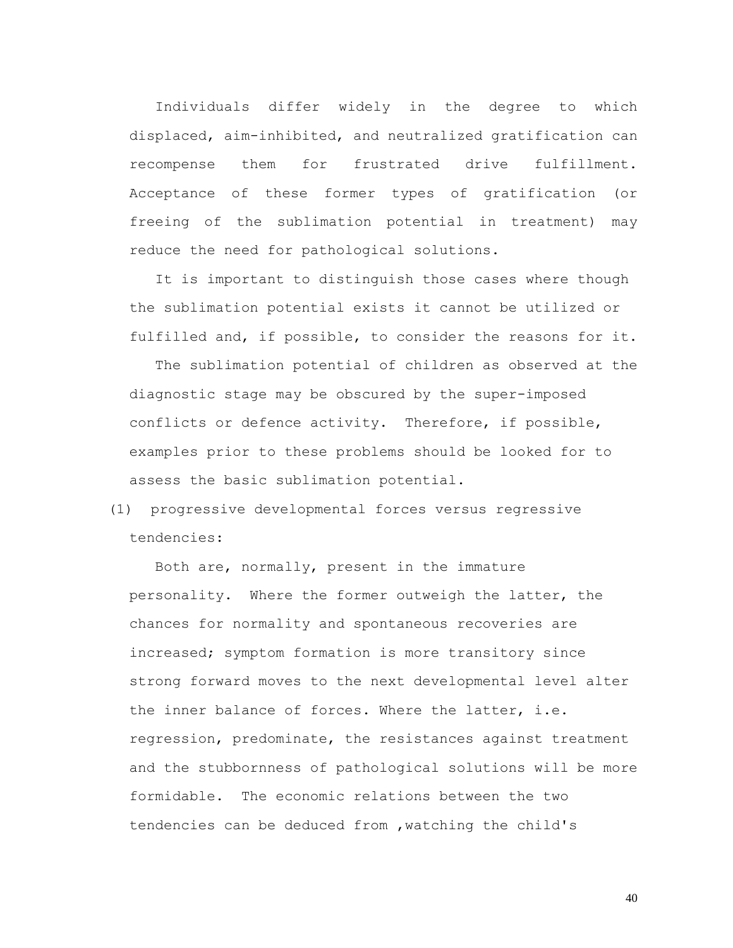Individuals differ widely in the degree to which displaced, aim-inhibited, and neutralized gratification can recompense them for frustrated drive fulfillment. Acceptance of these former types of gratification (or freeing of the sublimation potential in treatment) may reduce the need for pathological solutions.

 It is important to distinguish those cases where though the sublimation potential exists it cannot be utilized or fulfilled and, if possible, to consider the reasons for it.

 The sublimation potential of children as observed at the diagnostic stage may be obscured by the super-imposed conflicts or defence activity. Therefore, if possible, examples prior to these problems should be looked for to assess the basic sublimation potential.

# (1) progressive developmental forces versus regressive tendencies:

 Both are, normally, present in the immature personality. Where the former outweigh the latter, the chances for normality and spontaneous recoveries are increased; symptom formation is more transitory since strong forward moves to the next developmental level alter the inner balance of forces. Where the latter, i.e. regression, predominate, the resistances against treatment and the stubbornness of pathological solutions will be more formidable. The economic relations between the two tendencies can be deduced from ,watching the child's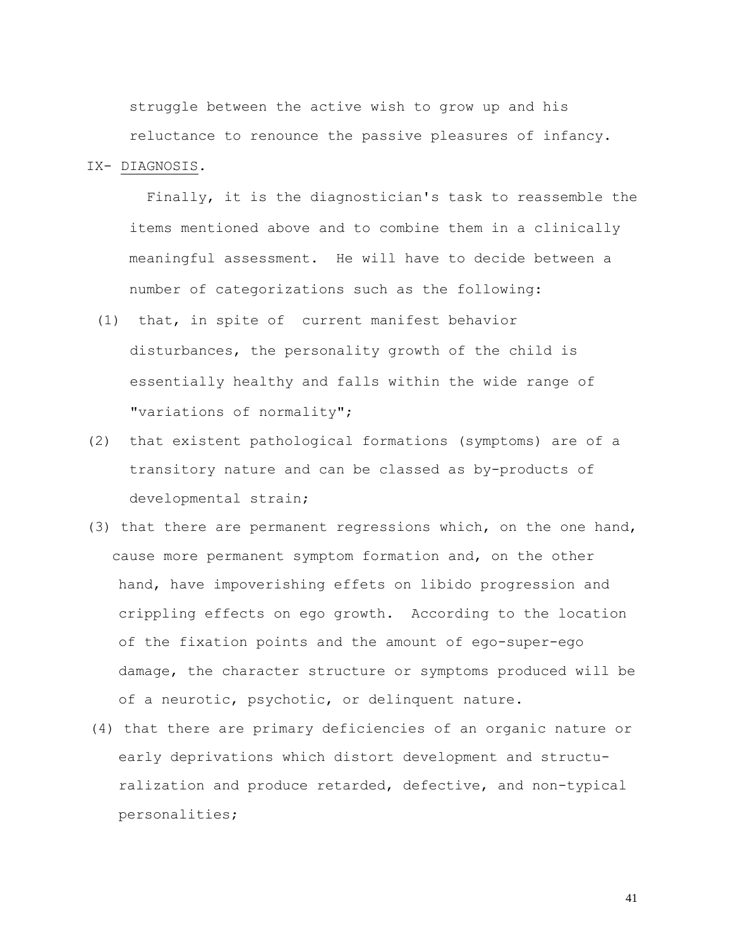struggle between the active wish to grow up and his reluctance to renounce the passive pleasures of infancy.

### IX- DIAGNOSIS.

 Finally, it is the diagnostician's task to reassemble the items mentioned above and to combine them in a clinically meaningful assessment. He will have to decide between a number of categorizations such as the following:

- (1) that, in spite of current manifest behavior disturbances, the personality growth of the child is essentially healthy and falls within the wide range of "variations of normality";
- (2) that existent pathological formations (symptoms) are of a transitory nature and can be classed as by-products of developmental strain;
- (3) that there are permanent regressions which, on the one hand, cause more permanent symptom formation and, on the other hand, have impoverishing effets on libido progression and crippling effects on ego growth. According to the location of the fixation points and the amount of ego-super-ego damage, the character structure or symptoms produced will be of a neurotic, psychotic, or delinquent nature.
- (4) that there are primary deficiencies of an organic nature or early deprivations which distort development and structuralization and produce retarded, defective, and non-typical personalities;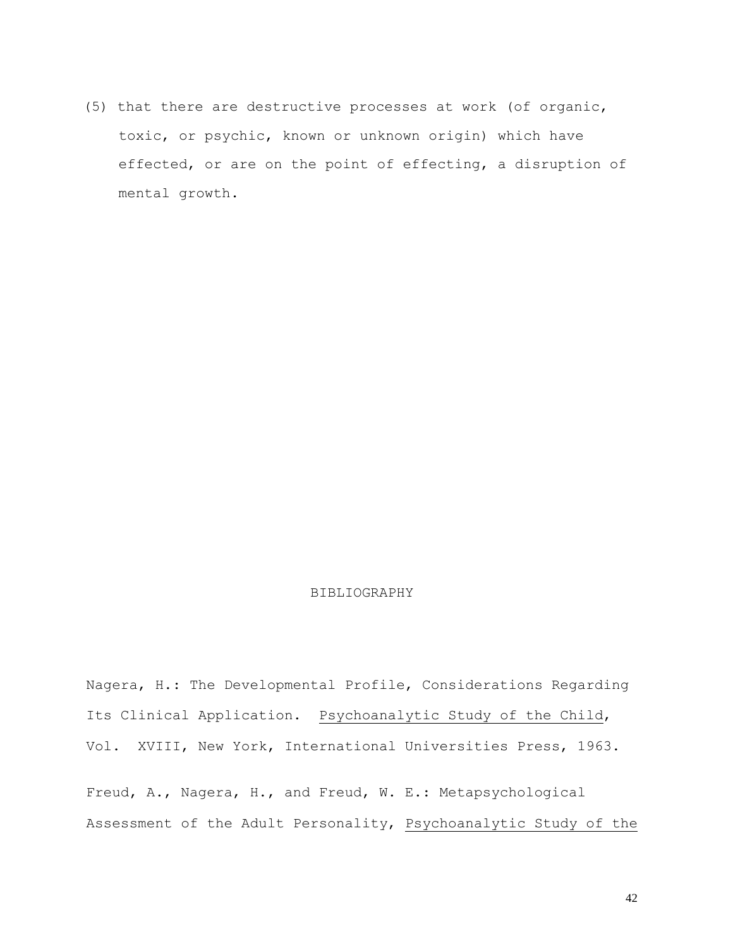(5) that there are destructive processes at work (of organic, toxic, or psychic, known or unknown origin) which have effected, or are on the point of effecting, a disruption of mental growth.

## BIBLIOGRAPHY

Nagera, H.: The Developmental Profile, Considerations Regarding Its Clinical Application. Psychoanalytic Study of the Child, Vol. XVIII, New York, International Universities Press, 1963.

Freud, A., Nagera, H., and Freud, W. E.: Metapsychological Assessment of the Adult Personality, Psychoanalytic Study of the